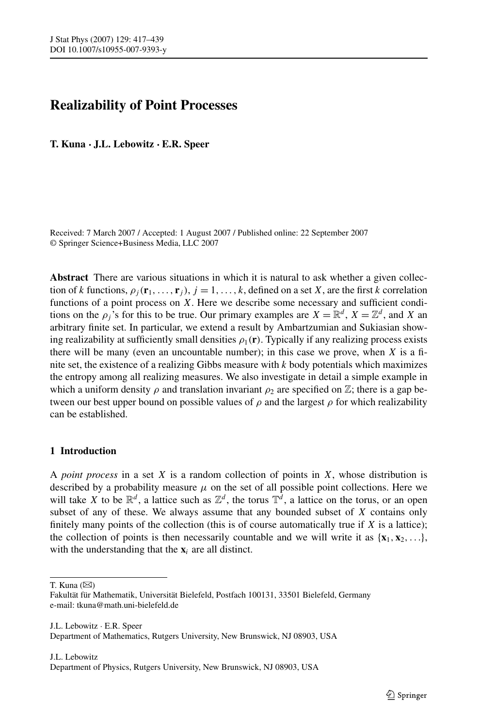# <span id="page-0-0"></span>**Realizability of Point Processes**

**T. Kuna · J.L. Lebowitz · E.R. Speer**

Received: 7 March 2007 / Accepted: 1 August 2007 / Published online: 22 September 2007 © Springer Science+Business Media, LLC 2007

**Abstract** There are various situations in which it is natural to ask whether a given collection of *k* functions,  $\rho_i(\mathbf{r}_1, \dots, \mathbf{r}_i)$ ,  $j = 1, \dots, k$ , defined on a set *X*, are the first *k* correlation functions of a point process on *X*. Here we describe some necessary and sufficient conditions on the  $\rho_i$ 's for this to be true. Our primary examples are  $X = \mathbb{R}^d$ ,  $X = \mathbb{Z}^d$ , and *X* and arbitrary finite set. In particular, we extend a result by Ambartzumian and Sukiasian showing realizability at sufficiently small densities  $\rho_1(\mathbf{r})$ . Typically if any realizing process exists there will be many (even an uncountable number); in this case we prove, when  $X$  is a finite set, the existence of a realizing Gibbs measure with *k* body potentials which maximizes the entropy among all realizing measures. We also investigate in detail a simple example in which a uniform density  $\rho$  and translation invariant  $\rho_2$  are specified on  $\mathbb{Z}$ ; there is a gap between our best upper bound on possible values of  $\rho$  and the largest  $\rho$  for which realizability can be established.

# **1 Introduction**

A *point process* in a set *X* is a random collection of points in *X*, whose distribution is described by a probability measure  $\mu$  on the set of all possible point collections. Here we will take X to be  $\mathbb{R}^d$ , a lattice such as  $\mathbb{Z}^d$ , the torus  $\mathbb{T}^d$ , a lattice on the torus, or an open subset of any of these. We always assume that any bounded subset of *X* contains only finitely many points of the collection (this is of course automatically true if *X* is a lattice); the collection of points is then necessarily countable and we will write it as  $\{x_1, x_2, \ldots\}$ , with the understanding that the **x***<sup>i</sup>* are all distinct.

T. Kuna  $(\boxtimes)$ 

J.L. Lebowitz · E.R. Speer Department of Mathematics, Rutgers University, New Brunswick, NJ 08903, USA

Fakultät für Mathematik, Universität Bielefeld, Postfach 100131, 33501 Bielefeld, Germany e-mail: tkuna@math.uni-bielefeld.de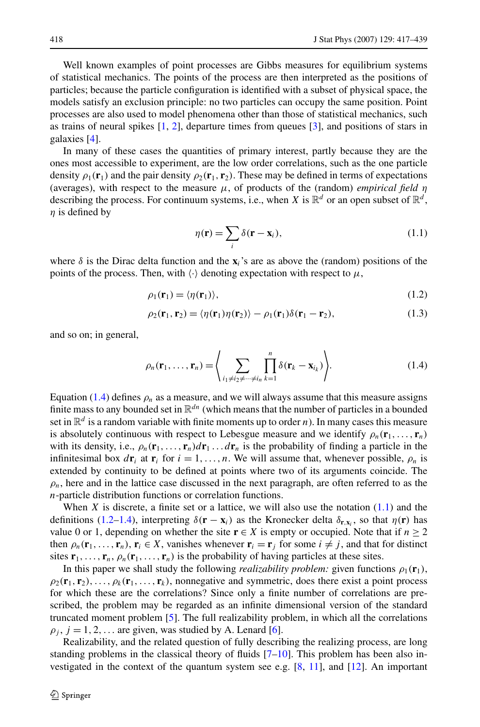<span id="page-1-0"></span>Well known examples of point processes are Gibbs measures for equilibrium systems of statistical mechanics. The points of the process are then interpreted as the positions of particles; because the particle configuration is identified with a subset of physical space, the models satisfy an exclusion principle: no two particles can occupy the same position. Point processes are also used to model phenomena other than those of statistical mechanics, such as trains of neural spikes [\[1](#page-21-0), [2](#page-21-0)], departure times from queues [\[3](#page-21-0)], and positions of stars in galaxies [\[4](#page-21-0)].

In many of these cases the quantities of primary interest, partly because they are the ones most accessible to experiment, are the low order correlations, such as the one particle density  $\rho_1(\mathbf{r}_1)$  and the pair density  $\rho_2(\mathbf{r}_1, \mathbf{r}_2)$ . These may be defined in terms of expectations (averages), with respect to the measure  $\mu$ , of products of the (random) *empirical field*  $\eta$ describing the process. For continuum systems, i.e., when *X* is  $\mathbb{R}^d$  or an open subset of  $\mathbb{R}^d$ , *η* is defined by

$$
\eta(\mathbf{r}) = \sum_{i} \delta(\mathbf{r} - \mathbf{x}_i),
$$
\n(1.1)

where  $\delta$  is the Dirac delta function and the  $\mathbf{x}_i$ 's are as above the (random) positions of the points of the process. Then, with  $\langle \cdot \rangle$  denoting expectation with respect to  $\mu$ ,

$$
\rho_1(\mathbf{r}_1) = \langle \eta(\mathbf{r}_1) \rangle, \tag{1.2}
$$

$$
\rho_2(\mathbf{r}_1, \mathbf{r}_2) = \langle \eta(\mathbf{r}_1)\eta(\mathbf{r}_2) \rangle - \rho_1(\mathbf{r}_1)\delta(\mathbf{r}_1 - \mathbf{r}_2), \tag{1.3}
$$

and so on; in general,

$$
\rho_n(\mathbf{r}_1,\ldots,\mathbf{r}_n) = \left\langle \sum_{i_1 \neq i_2 \neq \cdots \neq i_n} \prod_{k=1}^n \delta(\mathbf{r}_k - \mathbf{x}_{i_k}) \right\rangle. \tag{1.4}
$$

Equation (1.4) defines  $\rho_n$  as a measure, and we will always assume that this measure assigns finite mass to any bounded set in  $\mathbb{R}^{dn}$  (which means that the number of particles in a bounded set in  $\mathbb{R}^d$  is a random variable with finite moments up to order *n*). In many cases this measure is absolutely continuous with respect to Lebesgue measure and we identify  $\rho_n(\mathbf{r}_1, \dots, \mathbf{r}_n)$ with its density, i.e.,  $\rho_n(\mathbf{r}_1,\ldots,\mathbf{r}_n)d\mathbf{r}_1\ldots d\mathbf{r}_n$  is the probability of finding a particle in the infinitesimal box  $d\mathbf{r}_i$  at  $\mathbf{r}_i$  for  $i = 1, \ldots, n$ . We will assume that, whenever possible,  $\rho_n$  is extended by continuity to be defined at points where two of its arguments coincide. The  $\rho_n$ , here and in the lattice case discussed in the next paragraph, are often referred to as the *n*-particle distribution functions or correlation functions.

When  $X$  is discrete, a finite set or a lattice, we will also use the notation  $(1.1)$  and the definitions (1.2–1.4), interpreting  $\delta(\mathbf{r} - \mathbf{x}_i)$  as the Kronecker delta  $\delta_{\mathbf{r},\mathbf{x}_i}$ , so that  $\eta(\mathbf{r})$  has value 0 or 1, depending on whether the site  $\mathbf{r} \in X$  is empty or occupied. Note that if  $n \geq 2$ then  $\rho_n(\mathbf{r}_1,\ldots,\mathbf{r}_n)$ ,  $\mathbf{r}_i \in X$ , vanishes whenever  $\mathbf{r}_i = \mathbf{r}_i$  for some  $i \neq j$ , and that for distinct sites  $\mathbf{r}_1, \ldots, \mathbf{r}_n, \rho_n(\mathbf{r}_1, \ldots, \mathbf{r}_n)$  is the probability of having particles at these sites.

In this paper we shall study the following *realizability problem:* given functions  $\rho_1(\mathbf{r}_1)$ ,  $\rho_2(\mathbf{r}_1, \mathbf{r}_2), \ldots, \rho_k(\mathbf{r}_1, \ldots, \mathbf{r}_k)$ , nonnegative and symmetric, does there exist a point process for which these are the correlations? Since only a finite number of correlations are prescribed, the problem may be regarded as an infinite dimensional version of the standard truncated moment problem [[5](#page-21-0)]. The full realizability problem, in which all the correlations  $\rho_j$ ,  $j = 1, 2, \ldots$  are given, was studied by A. Lenard [\[6](#page-22-0)].

Realizability, and the related question of fully describing the realizing process, are long standing problems in the classical theory of fluids  $[7–10]$  $[7–10]$  $[7–10]$  $[7–10]$ . This problem has been also investigated in the context of the quantum system see e.g. [\[8](#page-22-0), [11](#page-22-0)], and [\[12\]](#page-22-0). An important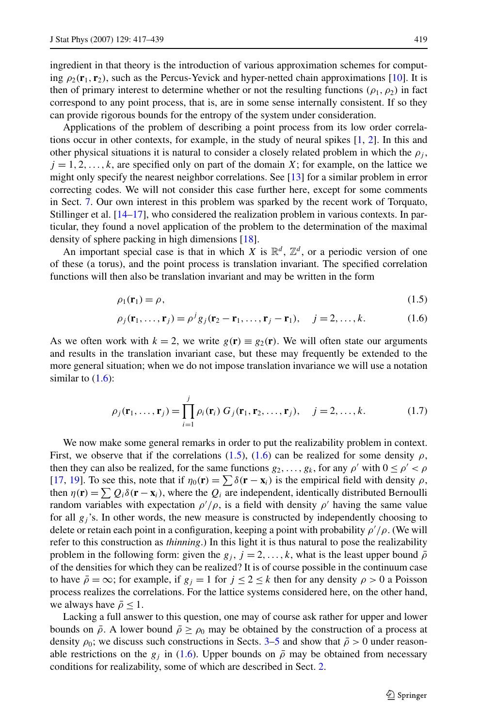<span id="page-2-0"></span>ingredient in that theory is the introduction of various approximation schemes for computing  $\rho_2(\mathbf{r}_1, \mathbf{r}_2)$ , such as the Percus-Yevick and hyper-netted chain approximations [\[10](#page-22-0)]. It is then of primary interest to determine whether or not the resulting functions  $(\rho_1, \rho_2)$  in fact correspond to any point process, that is, are in some sense internally consistent. If so they can provide rigorous bounds for the entropy of the system under consideration.

Applications of the problem of describing a point process from its low order correlations occur in other contexts, for example, in the study of neural spikes [\[1,](#page-21-0) [2\]](#page-21-0). In this and other physical situations it is natural to consider a closely related problem in which the  $\rho_i$ ,  $j = 1, 2, \ldots, k$ , are specified only on part of the domain *X*; for example, on the lattice we might only specify the nearest neighbor correlations. See [\[13\]](#page-22-0) for a similar problem in error correcting codes. We will not consider this case further here, except for some comments in Sect. [7.](#page-15-0) Our own interest in this problem was sparked by the recent work of Torquato, Stillinger et al. [\[14–17\]](#page-22-0), who considered the realization problem in various contexts. In particular, they found a novel application of the problem to the determination of the maximal density of sphere packing in high dimensions [[18](#page-22-0)].

An important special case is that in which *X* is  $\mathbb{R}^d$ ,  $\mathbb{Z}^d$ , or a periodic version of one of these (a torus), and the point process is translation invariant. The specified correlation functions will then also be translation invariant and may be written in the form

$$
\rho_1(\mathbf{r}_1) = \rho,\tag{1.5}
$$

$$
\rho_j(\mathbf{r}_1,\ldots,\mathbf{r}_j) = \rho^j g_j(\mathbf{r}_2 - \mathbf{r}_1,\ldots,\mathbf{r}_j - \mathbf{r}_1), \quad j = 2,\ldots,k.
$$
 (1.6)

As we often work with  $k = 2$ , we write  $g(\mathbf{r}) \equiv g_2(\mathbf{r})$ . We will often state our arguments and results in the translation invariant case, but these may frequently be extended to the more general situation; when we do not impose translation invariance we will use a notation similar to  $(1.6)$ :

$$
\rho_j(\mathbf{r}_1,\ldots,\mathbf{r}_j) = \prod_{i=1}^j \rho_i(\mathbf{r}_i) G_j(\mathbf{r}_1,\mathbf{r}_2,\ldots,\mathbf{r}_j), \quad j = 2,\ldots,k.
$$
 (1.7)

We now make some general remarks in order to put the realizability problem in context. First, we observe that if the correlations (1.5), (1.6) can be realized for some density  $\rho$ , then they can also be realized, for the same functions  $g_2, \ldots, g_k$ , for any  $\rho'$  with  $0 \le \rho' < \rho$ [[17](#page-22-0), [19\]](#page-22-0). To see this, note that if  $\eta_0(\mathbf{r}) = \sum \delta(\mathbf{r} - \mathbf{x}_i)$  is the empirical field with density  $\rho$ , then  $\eta(\mathbf{r}) = \sum Q_i \delta(\mathbf{r} - \mathbf{x}_i)$ , where the  $Q_i$  are independent, identically distributed Bernoulli random variables with expectation  $\rho' / \rho$ , is a field with density  $\rho'$  having the same value for all  $g_i$ 's. In other words, the new measure is constructed by independently choosing to delete or retain each point in a configuration, keeping a point with probability *ρ /ρ*. (We will refer to this construction as *thinning*.) In this light it is thus natural to pose the realizability problem in the following form: given the  $g_j$ ,  $j = 2, \ldots, k$ , what is the least upper bound  $\bar{\rho}$ of the densities for which they can be realized? It is of course possible in the continuum case to have  $\bar{\rho} = \infty$ ; for example, if  $g_j = 1$  for  $j \le 2 \le k$  then for any density  $\rho > 0$  a Poisson process realizes the correlations. For the lattice systems considered here, on the other hand, we always have  $\bar{\rho} \leq 1$ .

Lacking a full answer to this question, one may of course ask rather for upper and lower bounds on  $\bar{\rho}$ . A lower bound  $\bar{\rho} \geq \rho_0$  may be obtained by the construction of a process at density  $\rho_0$ ; we discuss such constructions in Sects. [3–](#page-4-0)[5](#page-10-0) and show that  $\bar{\rho} > 0$  under reasonable restrictions on the  $g_i$  in (1.6). Upper bounds on  $\bar{\rho}$  may be obtained from necessary conditions for realizability, some of which are described in Sect. [2](#page-3-0).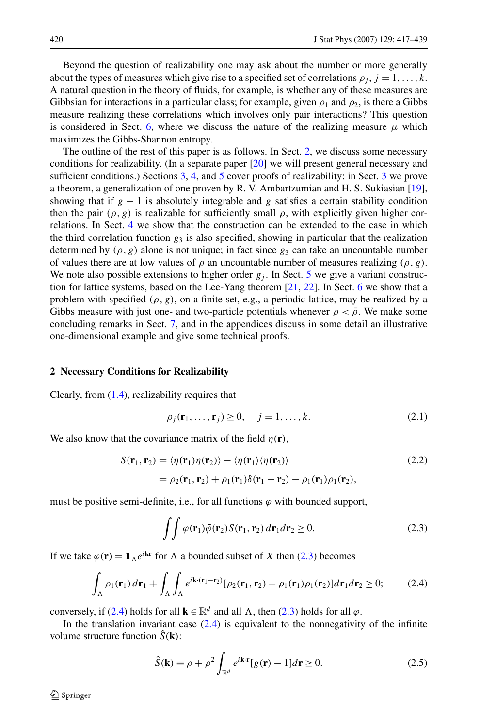<span id="page-3-0"></span>Beyond the question of realizability one may ask about the number or more generally about the types of measures which give rise to a specified set of correlations  $\rho_i$ ,  $j = 1, \ldots, k$ . A natural question in the theory of fluids, for example, is whether any of these measures are Gibbsian for interactions in a particular class; for example, given  $\rho_1$  and  $\rho_2$ , is there a Gibbs measure realizing these correlations which involves only pair interactions? This question is considered in Sect. [6](#page-12-0), where we discuss the nature of the realizing measure  $\mu$  which maximizes the Gibbs-Shannon entropy.

The outline of the rest of this paper is as follows. In Sect. 2, we discuss some necessary conditions for realizability. (In a separate paper [[20](#page-22-0)] we will present general necessary and sufficient conditions.) Sections [3](#page-4-0), [4,](#page-8-0) and [5](#page-10-0) cover proofs of realizability: in Sect. [3](#page-4-0) we prove a theorem, a generalization of one proven by R. V. Ambartzumian and H. S. Sukiasian [[19](#page-22-0)], showing that if  $g - 1$  is absolutely integrable and *g* satisfies a certain stability condition then the pair  $(\rho, g)$  is realizable for sufficiently small  $\rho$ , with explicitly given higher correlations. In Sect. [4](#page-8-0) we show that the construction can be extended to the case in which the third correlation function  $g_3$  is also specified, showing in particular that the realization determined by  $(\rho, g)$  alone is not unique; in fact since  $g_3$  can take an uncountable number of values there are at low values of  $\rho$  an uncountable number of measures realizing  $(\rho, g)$ . We note also possible extensions to higher order  $g_j$ . In Sect. [5](#page-10-0) we give a variant construction for lattice systems, based on the Lee-Yang theorem  $[21, 22]$  $[21, 22]$  $[21, 22]$  $[21, 22]$ . In Sect. [6](#page-12-0) we show that a problem with specified  $(\rho, g)$ , on a finite set, e.g., a periodic lattice, may be realized by a Gibbs measure with just one- and two-particle potentials whenever  $\rho < \bar{\rho}$ . We make some concluding remarks in Sect. [7,](#page-15-0) and in the appendices discuss in some detail an illustrative one-dimensional example and give some technical proofs.

#### **2 Necessary Conditions for Realizability**

Clearly, from ([1.4\)](#page-1-0), realizability requires that

$$
\rho_j(\mathbf{r}_1,\ldots,\mathbf{r}_j) \ge 0, \quad j=1,\ldots,k. \tag{2.1}
$$

We also know that the covariance matrix of the field  $\eta(\mathbf{r})$ ,

$$
S(\mathbf{r}_1, \mathbf{r}_2) = \langle \eta(\mathbf{r}_1)\eta(\mathbf{r}_2) \rangle - \langle \eta(\mathbf{r}_1)\langle \eta(\mathbf{r}_2) \rangle
$$
  
=  $\rho_2(\mathbf{r}_1, \mathbf{r}_2) + \rho_1(\mathbf{r}_1)\delta(\mathbf{r}_1 - \mathbf{r}_2) - \rho_1(\mathbf{r}_1)\rho_1(\mathbf{r}_2),$  (2.2)

must be positive semi-definite, i.e., for all functions  $\varphi$  with bounded support,

$$
\iint \varphi(\mathbf{r}_1)\bar{\varphi}(\mathbf{r}_2)S(\mathbf{r}_1,\mathbf{r}_2) d\mathbf{r}_1 d\mathbf{r}_2 \ge 0.
$$
 (2.3)

If we take  $\varphi(\mathbf{r}) = \mathbb{1}_{\Lambda} e^{i\mathbf{k}\mathbf{r}}$  for  $\Lambda$  a bounded subset of *X* then (2.3) becomes

$$
\int_{\Lambda} \rho_1(\mathbf{r}_1) d\mathbf{r}_1 + \int_{\Lambda} \int_{\Lambda} e^{i\mathbf{k}\cdot(\mathbf{r}_1 - \mathbf{r}_2)} [\rho_2(\mathbf{r}_1, \mathbf{r}_2) - \rho_1(\mathbf{r}_1)\rho_1(\mathbf{r}_2)] d\mathbf{r}_1 d\mathbf{r}_2 \ge 0; \tag{2.4}
$$

conversely, if (2.4) holds for all  $\mathbf{k} \in \mathbb{R}^d$  and all  $\Lambda$ , then (2.3) holds for all  $\varphi$ .

In the translation invariant case  $(2.4)$  is equivalent to the nonnegativity of the infinite volume structure function  $\tilde{S}(\mathbf{k})$ :

$$
\hat{S}(\mathbf{k}) \equiv \rho + \rho^2 \int_{\mathbb{R}^d} e^{i\mathbf{k} \cdot \mathbf{r}} [g(\mathbf{r}) - 1] d\mathbf{r} \ge 0.
$$
 (2.5)

 $\mathcal{D}$  Springer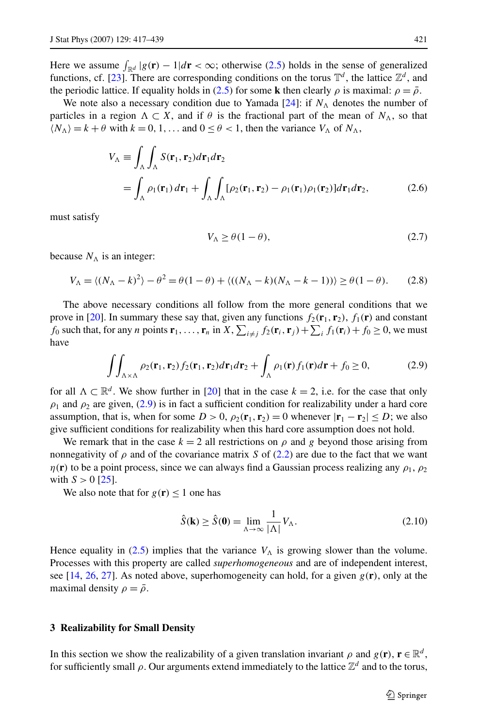<span id="page-4-0"></span>Here we assume  $\int_{\mathbb{R}^d} |g(\mathbf{r}) - 1| d\mathbf{r} < \infty$ ; otherwise [\(2.5](#page-3-0)) holds in the sense of generalized functions, cf. [[23](#page-22-0)]. There are corresponding conditions on the torus  $\mathbb{T}^d$ , the lattice  $\mathbb{Z}^d$ , and the periodic lattice. If equality holds in [\(2.5](#page-3-0)) for some **k** then clearly  $\rho$  is maximal:  $\rho = \overline{\rho}$ .

We note also a necessary condition due to Yamada  $[24]$ : if  $N_A$  denotes the number of particles in a region  $\Lambda \subset X$ , and if  $\theta$  is the fractional part of the mean of  $N_{\Lambda}$ , so that  $\langle N_{\Lambda} \rangle = k + \theta$  with  $k = 0, 1, \ldots$  and  $0 \le \theta < 1$ , then the variance  $V_{\Lambda}$  of  $N_{\Lambda}$ ,

$$
V_{\Lambda} \equiv \int_{\Lambda} \int_{\Lambda} S(\mathbf{r}_{1}, \mathbf{r}_{2}) d\mathbf{r}_{1} d\mathbf{r}_{2}
$$
  
= 
$$
\int_{\Lambda} \rho_{1}(\mathbf{r}_{1}) d\mathbf{r}_{1} + \int_{\Lambda} \int_{\Lambda} [\rho_{2}(\mathbf{r}_{1}, \mathbf{r}_{2}) - \rho_{1}(\mathbf{r}_{1}) \rho_{1}(\mathbf{r}_{2})] d\mathbf{r}_{1} d\mathbf{r}_{2},
$$
(2.6)

must satisfy

$$
V_{\Lambda} \ge \theta (1 - \theta),\tag{2.7}
$$

because  $N_A$  is an integer:

$$
V_{\Lambda} = \langle (N_{\Lambda} - k)^2 \rangle - \theta^2 = \theta(1 - \theta) + \langle ((N_{\Lambda} - k)(N_{\Lambda} - k - 1)) \rangle \ge \theta(1 - \theta). \tag{2.8}
$$

The above necessary conditions all follow from the more general conditions that we prove in [\[20\]](#page-22-0). In summary these say that, given any functions  $f_2(\mathbf{r}_1, \mathbf{r}_2)$ ,  $f_1(\mathbf{r})$  and constant  $f_0$  such that, for any *n* points  $\mathbf{r}_1, \dots, \mathbf{r}_n$  in  $X$ ,  $\sum_{i \neq j} f_2(\mathbf{r}_i, \mathbf{r}_j) + \sum_i f_1(\mathbf{r}_i) + f_0 \ge 0$ , we must have

$$
\iint_{\Lambda \times \Lambda} \rho_2(\mathbf{r}_1, \mathbf{r}_2) f_2(\mathbf{r}_1, \mathbf{r}_2) d\mathbf{r}_1 d\mathbf{r}_2 + \int_{\Lambda} \rho_1(\mathbf{r}) f_1(\mathbf{r}) d\mathbf{r} + f_0 \ge 0,
$$
\n(2.9)

for all  $\Lambda \subset \mathbb{R}^d$ . We show further in [[20](#page-22-0)] that in the case  $k = 2$ , i.e. for the case that only  $\rho_1$  and  $\rho_2$  are given, (2.9) is in fact a sufficient condition for realizability under a hard core assumption, that is, when for some  $D > 0$ ,  $\rho_2(\mathbf{r}_1, \mathbf{r}_2) = 0$  whenever  $|\mathbf{r}_1 - \mathbf{r}_2| \le D$ ; we also give sufficient conditions for realizability when this hard core assumption does not hold.

We remark that in the case  $k = 2$  all restrictions on  $\rho$  and  $g$  beyond those arising from nonnegativity of  $\rho$  and of the covariance matrix *S* of [\(2.2](#page-3-0)) are due to the fact that we want *η*(**r**) to be a point process, since we can always find a Gaussian process realizing any  $\rho_1$ ,  $\rho_2$ with  $S > 0$  [\[25\]](#page-22-0).

We also note that for  $g(\mathbf{r}) \leq 1$  one has

$$
\hat{S}(\mathbf{k}) \ge \hat{S}(\mathbf{0}) = \lim_{\Lambda \to \infty} \frac{1}{|\Lambda|} V_{\Lambda}.
$$
\n(2.10)

Hence equality in [\(2.5](#page-3-0)) implies that the variance  $V_A$  is growing slower than the volume. Processes with this property are called *superhomogeneous* and are of independent interest, see [[14](#page-22-0), [26,](#page-22-0) [27](#page-22-0)]. As noted above, superhomogeneity can hold, for a given  $g(\mathbf{r})$ , only at the maximal density  $\rho = \bar{\rho}$ .

# **3 Realizability for Small Density**

In this section we show the realizability of a given translation invariant  $\rho$  and  $g(\mathbf{r})$ ,  $\mathbf{r} \in \mathbb{R}^d$ , for sufficiently small  $\rho$ . Our arguments extend immediately to the lattice  $\mathbb{Z}^d$  and to the torus,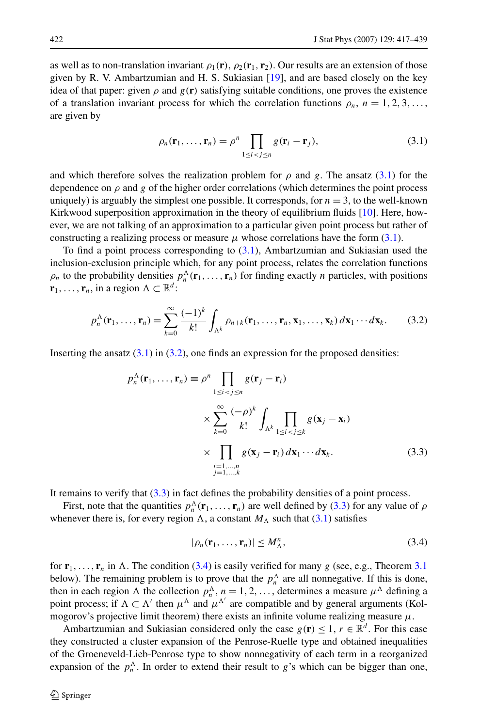<span id="page-5-0"></span>as well as to non-translation invariant  $\rho_1(\mathbf{r})$ ,  $\rho_2(\mathbf{r}_1, \mathbf{r}_2)$ . Our results are an extension of those given by R. V. Ambartzumian and H. S. Sukiasian [\[19\]](#page-22-0), and are based closely on the key idea of that paper: given  $\rho$  and  $g(\mathbf{r})$  satisfying suitable conditions, one proves the existence of a translation invariant process for which the correlation functions  $\rho_n$ ,  $n = 1, 2, 3, \ldots$ , are given by

$$
\rho_n(\mathbf{r}_1,\ldots,\mathbf{r}_n)=\rho^n\prod_{1\leq i
$$

and which therefore solves the realization problem for  $\rho$  and *g*. The ansatz (3.1) for the dependence on  $\rho$  and  $g$  of the higher order correlations (which determines the point process uniquely) is arguably the simplest one possible. It corresponds, for  $n = 3$ , to the well-known Kirkwood superposition approximation in the theory of equilibrium fluids [[10](#page-22-0)]. Here, however, we are not talking of an approximation to a particular given point process but rather of constructing a realizing process or measure  $\mu$  whose correlations have the form (3.1).

To find a point process corresponding to  $(3.1)$ , Ambartzumian and Sukiasian used the inclusion-exclusion principle which, for any point process, relates the correlation functions  $\rho_n$  to the probability densities  $p_n^{\Lambda}(\mathbf{r}_1,\ldots,\mathbf{r}_n)$  for finding exactly *n* particles, with positions  $\mathbf{r}_1, \ldots, \mathbf{r}_n$ , in a region  $\Lambda \subset \mathbb{R}^d$ :

$$
p_n^{\Lambda}(\mathbf{r}_1,\ldots,\mathbf{r}_n)=\sum_{k=0}^{\infty}\frac{(-1)^k}{k!}\int_{\Lambda^k}\rho_{n+k}(\mathbf{r}_1,\ldots,\mathbf{r}_n,\mathbf{x}_1,\ldots,\mathbf{x}_k)\,d\mathbf{x}_1\cdots d\mathbf{x}_k. \tag{3.2}
$$

Inserting the ansatz  $(3.1)$  in  $(3.2)$ , one finds an expression for the proposed densities:

$$
p_n^{\Lambda}(\mathbf{r}_1, ..., \mathbf{r}_n) \equiv \rho^n \prod_{1 \le i < j \le n} g(\mathbf{r}_j - \mathbf{r}_i)
$$
\n
$$
\times \sum_{k=0}^{\infty} \frac{(-\rho)^k}{k!} \int_{\Lambda^k} \prod_{1 \le i < j \le k} g(\mathbf{x}_j - \mathbf{x}_i)
$$
\n
$$
\times \prod_{\substack{i=1,...,n \\ j=1,...,k}} g(\mathbf{x}_j - \mathbf{r}_i) d\mathbf{x}_1 \cdots d\mathbf{x}_k. \tag{3.3}
$$

It remains to verify that (3.3) in fact defines the probability densities of a point process.

First, note that the quantities  $p_n^{\Lambda}(\mathbf{r}_1,\ldots,\mathbf{r}_n)$  are well defined by (3.3) for any value of  $\rho$ whenever there is, for every region  $\Lambda$ , a constant  $M_\Lambda$  such that (3.1) satisfies

$$
|\rho_n(\mathbf{r}_1,\ldots,\mathbf{r}_n)| \le M_\Lambda^n,\tag{3.4}
$$

for  $\mathbf{r}_1, \ldots, \mathbf{r}_n$  in  $\Lambda$ . The condition (3.4) is easily verified for many *g* (see, e.g., Theorem [3.1](#page-6-0)) below). The remaining problem is to prove that the  $p_n^{\Lambda}$  are all nonnegative. If this is done, then in each region  $\Lambda$  the collection  $p_n^{\Lambda}$ ,  $n = 1, 2, \ldots$ , determines a measure  $\mu^{\Lambda}$  defining a point process; if  $\Lambda \subset \Lambda'$  then  $\mu^{\Lambda}$  and  $\mu^{\Lambda'}$  are compatible and by general arguments (Kolmogorov's projective limit theorem) there exists an infinite volume realizing measure  $\mu$ .

Ambartzumian and Sukiasian considered only the case  $g(\mathbf{r}) \leq 1$ ,  $r \in \mathbb{R}^d$ . For this case they constructed a cluster expansion of the Penrose-Ruelle type and obtained inequalities of the Groeneveld-Lieb-Penrose type to show nonnegativity of each term in a reorganized expansion of the  $p_n^{\Lambda}$ . In order to extend their result to *g*'s which can be bigger than one,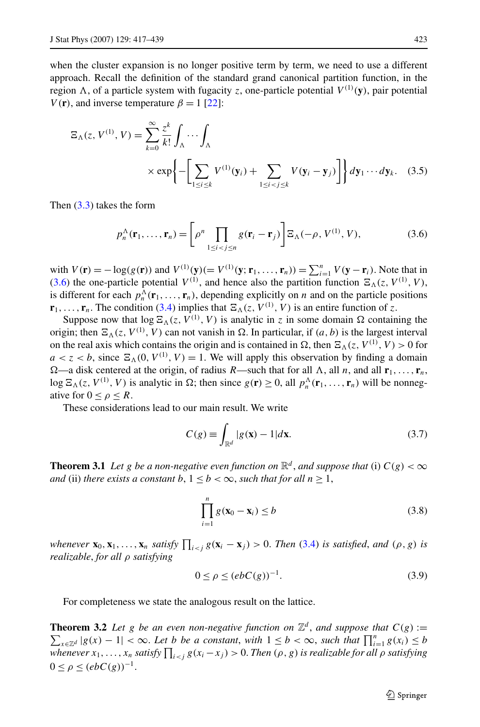<span id="page-6-0"></span>when the cluster expansion is no longer positive term by term, we need to use a different approach. Recall the definition of the standard grand canonical partition function, in the region  $\Lambda$ , of a particle system with fugacity *z*, one-particle potential  $V^{(1)}(\mathbf{y})$ , pair potential *V*(**r**), and inverse temperature  $\beta = 1$  [[22](#page-22-0)]:

$$
\Xi_{\Lambda}(z, V^{(1)}, V) = \sum_{k=0}^{\infty} \frac{z^k}{k!} \int_{\Lambda} \cdots \int_{\Lambda}
$$
  
 
$$
\times \exp\left\{-\left[\sum_{1 \le i \le k} V^{(1)}(\mathbf{y}_i) + \sum_{1 \le i < j \le k} V(\mathbf{y}_i - \mathbf{y}_j)\right]\right\} dy_1 \cdots dy_k. \quad (3.5)
$$

Then ([3.3\)](#page-5-0) takes the form

$$
p_n^{\Lambda}(\mathbf{r}_1,\ldots,\mathbf{r}_n) = \left[\rho^n \prod_{1 \le i < j \le n} g(\mathbf{r}_i - \mathbf{r}_j) \right] \Xi_{\Lambda}(-\rho, V^{(1)}, V),\tag{3.6}
$$

with  $V(\mathbf{r}) = -\log(g(\mathbf{r}))$  and  $V^{(1)}(\mathbf{y}) (= V^{(1)}(\mathbf{y}; \mathbf{r}_1, ..., \mathbf{r}_n)) = \sum_{i=1}^n V(\mathbf{y} - \mathbf{r}_i)$ . Note that in (3.6) the one-particle potential  $V^{(1)}$ , and hence also the partition function  $\mathbb{E}_{\Lambda}(z, V^{(1)}, V)$ , is different for each  $p_n^{\Lambda}(\mathbf{r}_1,\ldots,\mathbf{r}_n)$ , depending explicitly on *n* and on the particle positions  $\mathbf{r}_1, \ldots, \mathbf{r}_n$ . The condition ([3.4\)](#page-5-0) implies that  $\mathbb{E}_{\Lambda}(z, V^{(1)}, V)$  is an entire function of *z*.

Suppose now that  $\log \Xi_{\Lambda}(z, V^{(1)}, V)$  is analytic in *z* in some domain  $\Omega$  containing the origin; then  $\Xi_{\Lambda}(z, V^{(1)}, V)$  can not vanish in  $\Omega$ . In particular, if  $(a, b)$  is the largest interval on the real axis which contains the origin and is contained in  $\Omega$ , then  $\Xi_{\Lambda}(z, V^{(1)}, V) > 0$  for  $a < z < b$ , since  $\Xi_{\Lambda}(0, V^{(1)}, V) = 1$ . We will apply this observation by finding a domain  $\Omega$ —a disk centered at the origin, of radius *R*—such that for all  $\Lambda$ , all *n*, and all **r**<sub>1</sub>*,...,* **r**<sub>*n*</sub>, log  $\mathbb{E}_{\Lambda}(z, V^{(1)}, V)$  is analytic in  $\Omega$ ; then since  $g(\mathbf{r}) \geq 0$ , all  $p_n^{\Lambda}(\mathbf{r}_1, \ldots, \mathbf{r}_n)$  will be nonnegative for  $0 < \rho < R$ .

These considerations lead to our main result. We write

$$
C(g) \equiv \int_{\mathbb{R}^d} |g(\mathbf{x}) - 1| d\mathbf{x}.\tag{3.7}
$$

**Theorem 3.1** *Let g be a non-negative even function on*  $\mathbb{R}^d$ , *and suppose that* (i)  $C(g) < \infty$ *and* (ii) *there exists a constant*  $b, 1 \leq b < \infty$ *, such that for all*  $n \geq 1$ *,* 

$$
\prod_{i=1}^{n} g(\mathbf{x}_0 - \mathbf{x}_i) \leq b \tag{3.8}
$$

whenever  $\mathbf{x}_0, \mathbf{x}_1, ..., \mathbf{x}_n$  satisfy  $\prod_{i < j} g(\mathbf{x}_i - \mathbf{x}_j) > 0$ . Then [\(3.4](#page-5-0)) is satisfied, and  $(\rho, g)$  is *realizable*, *for all ρ satisfying*

$$
0 \le \rho \le (ebC(g))^{-1}.\tag{3.9}
$$

For completeness we state the analogous result on the lattice.

**Theorem 3.2** Let g be an even non-negative function on  $\mathbb{Z}^d$ , and suppose that  $C(g) :=$ **Theorem 3.2** Let g be an even non-negative function on  $\mathbb{Z}^d$ , and suppose that  $C(g) := \sum_{x \in \mathbb{Z}^d} |g(x) - 1| < \infty$ . Let b be a constant, with  $1 \leq b < \infty$ , such that  $\prod_{i=1}^n g(x_i) \leq b$ whenever  $x_1, \ldots, x_n$  satisfy  $\prod_{i < j} g(x_i - x_j) > 0.$  Then  $(\rho, g)$  is realizable for all  $\rho$  satisfying  $0 \leq \rho \leq (ebC(g))^{-1}.$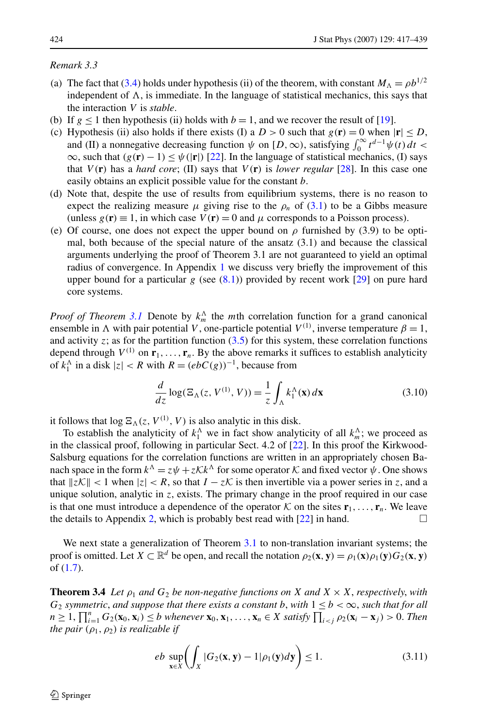#### <span id="page-7-0"></span>*Remark 3.3*

- (a) The fact that [\(3.4\)](#page-5-0) holds under hypothesis (ii) of the theorem, with constant  $M_A = \rho b^{1/2}$ independent of  $\Lambda$ , is immediate. In the language of statistical mechanics, this says that the interaction *V* is *stable*.
- (b) If  $g \le 1$  then hypothesis (ii) holds with  $b = 1$ , and we recover the result of [[19](#page-22-0)].
- (c) Hypothesis (ii) also holds if there exists (I) a  $D > 0$  such that  $g(\mathbf{r}) = 0$  when  $|\mathbf{r}| \leq D$ , and (II) a nonnegative decreasing function  $\psi$  on  $[D, \infty)$ , satisfying  $\int_0^\infty t^{d-1} \psi(t) dt$  <  $\infty$ , such that  $(g(\mathbf{r}) - 1) \leq \psi(|\mathbf{r}|)$  [[22\]](#page-22-0). In the language of statistical mechanics, (I) says that  $V(\mathbf{r})$  has a *hard core*; (II) says that  $V(\mathbf{r})$  is *lower regular* [[28](#page-22-0)]. In this case one easily obtains an explicit possible value for the constant *b*.
- (d) Note that, despite the use of results from equilibrium systems, there is no reason to expect the realizing measure  $\mu$  giving rise to the  $\rho_n$  of [\(3.1](#page-5-0)) to be a Gibbs measure (unless  $g(\mathbf{r}) \equiv 1$ , in which case  $V(\mathbf{r}) = 0$  and  $\mu$  corresponds to a Poisson process).
- (e) Of course, one does not expect the upper bound on  $\rho$  furnished by (3.9) to be optimal, both because of the special nature of the ansatz (3.1) and because the classical arguments underlying the proof of Theorem 3.1 are not guaranteed to yield an optimal radius of convergence. In Appendix [1](#page-15-0) we discuss very briefly the improvement of this upper bound for a particular *g* (see [\(8.1\)](#page-16-0)) provided by recent work [\[29\]](#page-22-0) on pure hard core systems.

*Proof of Theorem [3.1](#page-6-0)* Denote by  $k_m^{\Lambda}$  the *m*th correlation function for a grand canonical ensemble in  $\Lambda$  with pair potential *V*, one-particle potential  $V^{(1)}$ , inverse temperature  $\beta = 1$ , and activity *z*; as for the partition function  $(3.5)$  $(3.5)$  for this system, these correlation functions depend through  $V^{(1)}$  on  $\mathbf{r}_1, \ldots, \mathbf{r}_n$ . By the above remarks it suffices to establish analyticity of  $k_1^{\Lambda}$  in a disk  $|z| < R$  with  $R = (ebC(g))^{-1}$ , because from

$$
\frac{d}{dz}\log(\Xi_{\Lambda}(z, V^{(1)}, V)) = \frac{1}{z} \int_{\Lambda} k_1^{\Lambda}(\mathbf{x}) d\mathbf{x}
$$
\n(3.10)

it follows that  $\log \Xi_{\Lambda}(z, V^{(1)}, V)$  is also analytic in this disk.

To establish the analyticity of  $k_1^{\Lambda}$  we in fact show analyticity of all  $k_m^{\Lambda}$ ; we proceed as in the classical proof, following in particular Sect. 4.2 of [\[22\]](#page-22-0). In this proof the Kirkwood-Salsburg equations for the correlation functions are written in an appropriately chosen Banach space in the form  $k^{\Lambda} = z\psi + zKk^{\Lambda}$  for some operator K and fixed vector  $\psi$ . One shows that  $||z\mathcal{K}|| < 1$  when  $|z| < R$ , so that  $I - z\mathcal{K}$  is then invertible via a power series in *z*, and a unique solution, analytic in *z*, exists. The primary change in the proof required in our case is that one must introduce a dependence of the operator K on the sites  $\mathbf{r}_1, \ldots, \mathbf{r}_n$ . We leave the details to Appendix [2,](#page-19-0) which is probably best read with [[22\]](#page-22-0) in hand.  $\square$ 

We next state a generalization of Theorem [3.1](#page-6-0) to non-translation invariant systems; the proof is omitted. Let  $X \subset \mathbb{R}^d$  be open, and recall the notation  $\rho_2(\mathbf{x}, \mathbf{y}) = \rho_1(\mathbf{x})\rho_1(\mathbf{y})G_2(\mathbf{x}, \mathbf{y})$ of [\(1.7](#page-2-0)).

**Theorem 3.4** *Let*  $\rho_1$  *and*  $G_2$  *be non-negative functions on X and*  $X \times X$ *, respectively, with G*<sub>2</sub> *symmetric*, *and suppose that there exists a constant b*, *with*  $1 \leq b < \infty$ , *such that for all*  $n \geq 1, \prod_{i=1}^{n} G_2(\mathbf{x}_0, \mathbf{x}_i) \leq b$  whenever  $\mathbf{x}_0, \mathbf{x}_1, \ldots, \mathbf{x}_n \in X$  satisfy  $\prod_{i < j} \rho_2(\mathbf{x}_i - \mathbf{x}_j) > 0$ . Then *the pair*  $(\rho_1, \rho_2)$  *is realizable if* 

$$
eb \sup_{\mathbf{x}\in X} \left( \int_X |G_2(\mathbf{x}, \mathbf{y}) - 1| \rho_1(\mathbf{y}) d\mathbf{y} \right) \le 1. \tag{3.11}
$$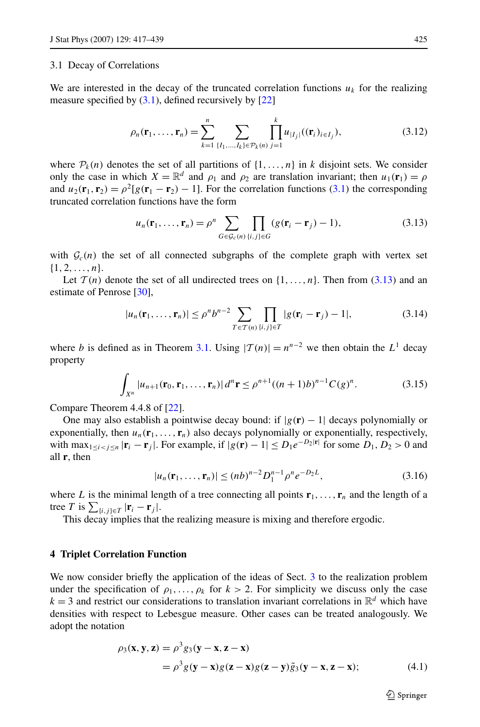### <span id="page-8-0"></span>3.1 Decay of Correlations

We are interested in the decay of the truncated correlation functions  $u_k$  for the realizing measure specified by  $(3.1)$  $(3.1)$ , defined recursively by  $[22]$  $[22]$  $[22]$ 

$$
\rho_n(\mathbf{r}_1, \dots, \mathbf{r}_n) = \sum_{k=1}^n \sum_{\{I_1, \dots, I_k\} \in \mathcal{P}_k(n)} \prod_{j=1}^k u_{|I_j|}((\mathbf{r}_i)_{i \in I_j}),
$$
\n(3.12)

where  $P_k(n)$  denotes the set of all partitions of  $\{1, \ldots, n\}$  in *k* disjoint sets. We consider only the case in which  $X = \mathbb{R}^d$  and  $\rho_1$  and  $\rho_2$  are translation invariant; then  $u_1(\mathbf{r}_1) = \rho$ and  $u_2(\mathbf{r}_1, \mathbf{r}_2) = \rho^2[g(\mathbf{r}_1 - \mathbf{r}_2) - 1]$ . For the correlation functions ([3.1\)](#page-5-0) the corresponding truncated correlation functions have the form

$$
u_n(\mathbf{r}_1,\ldots,\mathbf{r}_n)=\rho^n\sum_{G\in\mathcal{G}_c(n)}\prod_{\{i,j\}\in G}(g(\mathbf{r}_i-\mathbf{r}_j)-1),\qquad(3.13)
$$

with  $G_c(n)$  the set of all connected subgraphs of the complete graph with vertex set {1*,* 2*,...,n*}.

Let  $\mathcal{T}(n)$  denote the set of all undirected trees on  $\{1, \ldots, n\}$ . Then from (3.13) and an estimate of Penrose [\[30\]](#page-22-0).

$$
|u_n(\mathbf{r}_1,\ldots,\mathbf{r}_n)| \le \rho^n b^{n-2} \sum_{T \in \mathcal{T}(n)} \prod_{\{i,j\} \in T} |g(\mathbf{r}_i - \mathbf{r}_j) - 1|, \tag{3.14}
$$

where *b* is defined as in Theorem [3.1](#page-6-0). Using  $|T(n)| = n^{n-2}$  we then obtain the  $L^1$  decay property

$$
\int_{X^n} |u_{n+1}(\mathbf{r}_0, \mathbf{r}_1, \dots, \mathbf{r}_n)| \, d^n \mathbf{r} \le \rho^{n+1} ((n+1)b)^{n-1} C(g)^n. \tag{3.15}
$$

Compare Theorem 4.4.8 of [\[22\]](#page-22-0).

One may also establish a pointwise decay bound: if  $|g(\mathbf{r}) - 1|$  decays polynomially or exponentially, then  $u_n(\mathbf{r}_1, \dots, \mathbf{r}_n)$  also decays polynomially or exponentially, respectively, with max<sub> $1 \leq i < j \leq n$ </sub>  $|\mathbf{r}_i - \mathbf{r}_j|$ . For example, if  $|g(\mathbf{r}) - 1| \leq D_1 e^{-D_2 |\mathbf{r}|}$  for some  $D_1, D_2 > 0$  and all **r**, then

$$
|u_n(\mathbf{r}_1,\ldots,\mathbf{r}_n)| \le (nb)^{n-2} D_1^{n-1} \rho^n e^{-D_2 L},\tag{3.16}
$$

where L is the minimal length of a tree connecting all points  $\mathbf{r}_1, \ldots, \mathbf{r}_n$  and the length of a tree *T* is  $\sum_{\{i,j\} \in T} |\mathbf{r}_i - \mathbf{r}_j|$ .

This decay implies that the realizing measure is mixing and therefore ergodic.

#### **4 Triplet Correlation Function**

We now consider briefly the application of the ideas of Sect. [3](#page-4-0) to the realization problem under the specification of  $\rho_1, \ldots, \rho_k$  for  $k > 2$ . For simplicity we discuss only the case  $k = 3$  and restrict our considerations to translation invariant correlations in  $\mathbb{R}^d$  which have densities with respect to Lebesgue measure. Other cases can be treated analogously. We adopt the notation

$$
\rho_3(\mathbf{x}, \mathbf{y}, \mathbf{z}) = \rho^3 g_3(\mathbf{y} - \mathbf{x}, \mathbf{z} - \mathbf{x})
$$
  
= 
$$
\rho^3 g(\mathbf{y} - \mathbf{x}) g(\mathbf{z} - \mathbf{x}) g(\mathbf{z} - \mathbf{y}) \tilde{g}_3(\mathbf{y} - \mathbf{x}, \mathbf{z} - \mathbf{x});
$$
 (4.1)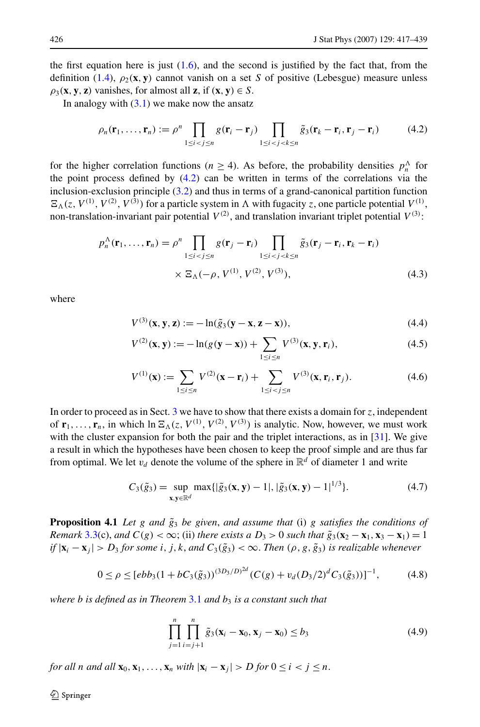<span id="page-9-0"></span>the first equation here is just  $(1.6)$  $(1.6)$ , and the second is justified by the fact that, from the definition ([1.4](#page-1-0)),  $\rho_2$ (**x**, **y**) cannot vanish on a set *S* of positive (Lebesgue) measure unless  $\rho_3$ (**x***,* **y**, **z**) vanishes, for almost all **z**, if (**x***,* **y**)  $\in$  *S*.

In analogy with  $(3.1)$  $(3.1)$  we make now the ansatz

$$
\rho_n(\mathbf{r}_1,\ldots,\mathbf{r}_n) := \rho^n \prod_{1 \le i < j \le n} g(\mathbf{r}_i - \mathbf{r}_j) \prod_{1 \le i < j < k \le n} \tilde{g}_3(\mathbf{r}_k - \mathbf{r}_i, \mathbf{r}_j - \mathbf{r}_i) \tag{4.2}
$$

for the higher correlation functions ( $n \geq 4$ ). As before, the probability densities  $p_n^{\Lambda}$  for the point process defined by (4.2) can be written in terms of the correlations via the inclusion-exclusion principle [\(3.2](#page-5-0)) and thus in terms of a grand-canonical partition function  $\mathbb{E}_{\Lambda}(z, V^{(1)}, V^{(2)}, V^{(3)})$  for a particle system in  $\Lambda$  with fugacity *z*, one particle potential  $V^{(1)}$ , non-translation-invariant pair potential  $V^{(2)}$ , and translation invariant triplet potential  $V^{(3)}$ :

$$
p_n^{\Lambda}(\mathbf{r}_1, \dots, \mathbf{r}_n) = \rho^n \prod_{1 \le i < j \le n} g(\mathbf{r}_j - \mathbf{r}_i) \prod_{1 \le i < j < k \le n} \tilde{g}_3(\mathbf{r}_j - \mathbf{r}_i, \mathbf{r}_k - \mathbf{r}_i) \\
\times \Xi_{\Lambda}(-\rho, V^{(1)}, V^{(2)}, V^{(3)}),\n\tag{4.3}
$$

where

$$
V^{(3)}(\mathbf{x}, \mathbf{y}, \mathbf{z}) := -\ln(\tilde{g}_3(\mathbf{y} - \mathbf{x}, \mathbf{z} - \mathbf{x})),\tag{4.4}
$$

$$
V^{(2)}(\mathbf{x}, \mathbf{y}) := -\ln(g(\mathbf{y} - \mathbf{x})) + \sum_{1 \le i \le n} V^{(3)}(\mathbf{x}, \mathbf{y}, \mathbf{r}_i),
$$
(4.5)

$$
V^{(1)}(\mathbf{x}) := \sum_{1 \le i \le n} V^{(2)}(\mathbf{x} - \mathbf{r}_i) + \sum_{1 \le i < j \le n} V^{(3)}(\mathbf{x}, \mathbf{r}_i, \mathbf{r}_j). \tag{4.6}
$$

In order to proceed as in Sect. [3](#page-4-0) we have to show that there exists a domain for *z*, independent of  $\mathbf{r}_1, \ldots, \mathbf{r}_n$ , in which  $\ln \mathbf{E}_{\Lambda}(z, V^{(1)}, V^{(2)}, V^{(3)})$  is analytic. Now, however, we must work with the cluster expansion for both the pair and the triplet interactions, as in [[31](#page-22-0)]. We give a result in which the hypotheses have been chosen to keep the proof simple and are thus far from optimal. We let  $v_d$  denote the volume of the sphere in  $\mathbb{R}^d$  of diameter 1 and write

$$
C_3(\tilde{g}_3) = \sup_{\mathbf{x}, \mathbf{y} \in \mathbb{R}^d} \max\{ |\tilde{g}_3(\mathbf{x}, \mathbf{y}) - 1|, |\tilde{g}_3(\mathbf{x}, \mathbf{y}) - 1|^{1/3} \}.
$$
 (4.7)

**Proposition 4.1** *Let g and*  $\tilde{g}_3$  *be given, and assume that* (i) *g satisfies the conditions of Remark* [3.3](#page-7-0)(c), *and*  $C(g) < \infty$ ; (ii) *there exists a*  $D_3 > 0$  *such that*  $\tilde{g}_3(\mathbf{x}_2 - \mathbf{x}_1, \mathbf{x}_3 - \mathbf{x}_1) = 1$ *if*  $|\mathbf{x}_i - \mathbf{x}_j| > D_3$  *for some i, j, k, and*  $C_3(\tilde{g}_3) < \infty$ . *Then*  $(\rho, g, \tilde{g}_3)$  *is realizable whenever* 

$$
0 \le \rho \le [ebb_3(1 + bC_3(\tilde{g}_3))^{(3D_3/D)^{2d}}(C(g) + v_d(D_3/2)^d C_3(\tilde{g}_3))]^{-1}, \tag{4.8}
$$

*where b is defined as in Theorem* [3.1](#page-6-0) *and b*<sup>3</sup> *is a constant such that*

$$
\prod_{j=1}^{n} \prod_{i=j+1}^{n} \tilde{g}_3(\mathbf{x}_i - \mathbf{x}_0, \mathbf{x}_j - \mathbf{x}_0) \le b_3
$$
\n(4.9)

*for all n and all*  $\mathbf{x}_0, \mathbf{x}_1, \ldots, \mathbf{x}_n$  *with*  $|\mathbf{x}_i - \mathbf{x}_j| > D$  *for*  $0 \le i < j \le n$ .

 $\mathcal{D}$  Springer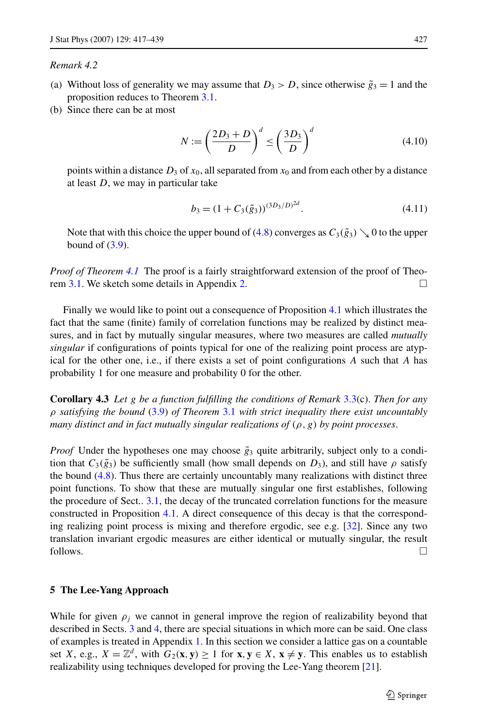# <span id="page-10-0"></span>*Remark 4.2*

- (a) Without loss of generality we may assume that  $D_3 > D$ , since otherwise  $\tilde{g}_3 = 1$  and the proposition reduces to Theorem [3.1](#page-6-0).
- (b) Since there can be at most

$$
N := \left(\frac{2D_3 + D}{D}\right)^d \le \left(\frac{3D_3}{D}\right)^d \tag{4.10}
$$

points within a distance  $D_3$  of  $x_0$ , all separated from  $x_0$  and from each other by a distance at least *D*, we may in particular take

$$
b_3 = (1 + C_3(\tilde{g}_3))^{(3D_3/D)^{2d}}.
$$
\n(4.11)

Note that with this choice the upper bound of ([4.8\)](#page-9-0) converges as  $C_3(\tilde{g}_3) \searrow 0$  to the upper bound of  $(3.9)$ .

*Proof of Theorem [4.1](#page-9-0)* The proof is a fairly straightforward extension of the proof of Theo-rem [3.1.](#page-6-0) We sketch some details in Appendix [2](#page-19-0).

Finally we would like to point out a consequence of Proposition [4.1](#page-9-0) which illustrates the fact that the same (finite) family of correlation functions may be realized by distinct measures, and in fact by mutually singular measures, where two measures are called *mutually singular* if configurations of points typical for one of the realizing point process are atypical for the other one, i.e., if there exists a set of point configurations *A* such that *A* has probability 1 for one measure and probability 0 for the other.

**Corollary 4.3** *Let g be a function fulfilling the conditions of Remark* [3.3\(](#page-7-0)c). *Then for any ρ satisfying the bound* ([3.9\)](#page-6-0) *of Theorem* [3.1](#page-6-0) *with strict inequality there exist uncountably many distinct and in fact mutually singular realizations of (ρ,g) by point processes*.

*Proof* Under the hypotheses one may choose  $\tilde{g}_3$  quite arbitrarily, subject only to a condition that  $C_3(\tilde{g}_3)$  be sufficiently small (how small depends on  $D_3$ ), and still have  $\rho$  satisfy the bound ([4.8](#page-9-0)). Thus there are certainly uncountably many realizations with distinct three point functions. To show that these are mutually singular one first establishes, following the procedure of Sect.. [3.1,](#page-8-0) the decay of the truncated correlation functions for the measure constructed in Proposition [4.1](#page-9-0). A direct consequence of this decay is that the corresponding realizing point process is mixing and therefore ergodic, see e.g. [\[32\]](#page-22-0). Since any two translation invariant ergodic measures are either identical or mutually singular, the result  $\Box$  follows.

#### **5 The Lee-Yang Approach**

While for given  $\rho_i$  we cannot in general improve the region of realizability beyond that described in Sects. [3](#page-4-0) and [4,](#page-8-0) there are special situations in which more can be said. One class of examples is treated in Appendix [1.](#page-15-0) In this section we consider a lattice gas on a countable set *X*, e.g.,  $X = \mathbb{Z}^d$ , with  $G_2(\mathbf{x}, \mathbf{y}) \ge 1$  for  $\mathbf{x}, \mathbf{y} \in X$ ,  $\mathbf{x} \neq \mathbf{y}$ . This enables us to establish realizability using techniques developed for proving the Lee-Yang theorem [[21](#page-22-0)].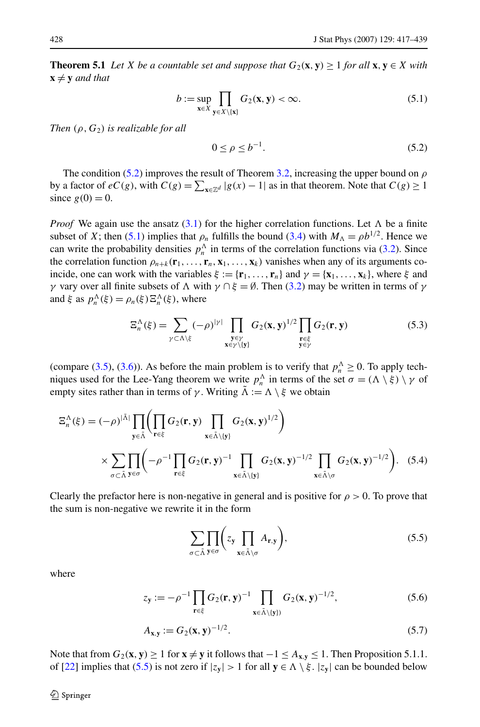<span id="page-11-0"></span>**Theorem 5.1** *Let X be a countable set and suppose that*  $G_2$ (**x***,* **y**)  $\geq$  1 *for all* **x***,* **y**  $\in$  *X with*  $\mathbf{x} \neq \mathbf{y}$  *and that* 

$$
b := \sup_{\mathbf{x} \in X} \prod_{\mathbf{y} \in X \setminus \{\mathbf{x}\}} G_2(\mathbf{x}, \mathbf{y}) < \infty. \tag{5.1}
$$

*Then (ρ,G*2*) is realizable for all*

$$
0 \le \rho \le b^{-1}.\tag{5.2}
$$

The condition (5.2) improves the result of Theorem [3.2](#page-6-0), increasing the upper bound on *ρ* by a factor of  $eC(g)$ , with  $C(g) = \sum_{x \in \mathbb{Z}^d} |g(x) - 1|$  as in that theorem. Note that  $C(g) \ge 1$ since  $g(0) = 0$ .

*Proof* We again use the ansatz ([3.1\)](#page-5-0) for the higher correlation functions. Let  $\Lambda$  be a finite subset of *X*; then (5.1) implies that  $\rho_n$  fulfills the bound [\(3.4\)](#page-5-0) with  $M_\Lambda = \rho b^{1/2}$ . Hence we can write the probability densities  $p_n^{\Lambda}$  in terms of the correlation functions via [\(3.2](#page-5-0)). Since the correlation function  $\rho_{n+k}(\mathbf{r}_1,\ldots,\mathbf{r}_n,\mathbf{x}_1,\ldots,\mathbf{x}_k)$  vanishes when any of its arguments coincide, one can work with the variables  $\xi := {\mathbf{r}_1, \ldots, \mathbf{r}_n}$  and  $\gamma = {\mathbf{x}_1, \ldots, \mathbf{x}_k}$ , where  $\xi$  and *γ* vary over all finite subsets of  $\Lambda$  with  $\gamma \cap \xi = \emptyset$ . Then ([3.2](#page-5-0)) may be written in terms of  $\gamma$ and  $\xi$  as  $p_n^{\Lambda}(\xi) = \rho_n(\xi) \Xi_n^{\Lambda}(\xi)$ , where

$$
\Xi_n^{\Lambda}(\xi) = \sum_{\gamma \subset \Lambda \setminus \xi} (-\rho)^{|\gamma|} \prod_{\substack{\mathbf{y} \in \gamma \\ \mathbf{x} \in \gamma \setminus \{\mathbf{y}\}}} G_2(\mathbf{x}, \mathbf{y})^{1/2} \prod_{\substack{\mathbf{r} \in \xi \\ \mathbf{y} \in \gamma}} G_2(\mathbf{r}, \mathbf{y}) \tag{5.3}
$$

(compare [\(3.5](#page-6-0)), [\(3.6](#page-6-0))). As before the main problem is to verify that  $p_n^{\Lambda} \ge 0$ . To apply techniques used for the Lee-Yang theorem we write  $p_n^{\Lambda}$  in terms of the set  $\sigma = (\Lambda \setminus \xi) \setminus \gamma$  of empty sites rather than in terms of *γ*. Writing  $\tilde{\Lambda} := \Lambda \setminus \xi$  we obtain

$$
\Xi_n^{\Lambda}(\xi) = (-\rho)^{|\tilde{\Lambda}|} \prod_{\mathbf{y} \in \tilde{\Lambda}} \left( \prod_{\mathbf{r} \in \xi} G_2(\mathbf{r}, \mathbf{y}) \prod_{\mathbf{x} \in \tilde{\Lambda} \setminus \{\mathbf{y}\}} G_2(\mathbf{x}, \mathbf{y})^{1/2} \right)
$$
  
 
$$
\times \sum_{\sigma \subset \tilde{\Lambda}} \prod_{\mathbf{y} \in \sigma} \left( -\rho^{-1} \prod_{\mathbf{r} \in \xi} G_2(\mathbf{r}, \mathbf{y})^{-1} \prod_{\mathbf{x} \in \tilde{\Lambda} \setminus \{\mathbf{y}\}} G_2(\mathbf{x}, \mathbf{y})^{-1/2} \prod_{\mathbf{x} \in \tilde{\Lambda} \setminus \sigma} G_2(\mathbf{x}, \mathbf{y})^{-1/2} \right). \tag{5.4}
$$

Clearly the prefactor here is non-negative in general and is positive for  $\rho > 0$ . To prove that the sum is non-negative we rewrite it in the form

$$
\sum_{\sigma \subset \tilde{\Lambda}} \prod_{\mathbf{y} \in \sigma} \left( z_{\mathbf{y}} \prod_{\mathbf{x} \in \tilde{\Lambda} \setminus \sigma} A_{\mathbf{r},\mathbf{y}} \right), \tag{5.5}
$$

where

$$
z_{\mathbf{y}} := -\rho^{-1} \prod_{\mathbf{r} \in \xi} G_2(\mathbf{r}, \mathbf{y})^{-1} \prod_{\mathbf{x} \in \tilde{\Lambda} \setminus \{\mathbf{y}\}} G_2(\mathbf{x}, \mathbf{y})^{-1/2},
$$
(5.6)

$$
A_{\mathbf{x},\mathbf{y}} := G_2(\mathbf{x}, \mathbf{y})^{-1/2}.
$$
 (5.7)

Note that from  $G_2$ (**x**, **y**) ≥ 1 for  $\mathbf{x} \neq \mathbf{y}$  it follows that  $-1 \leq A_{\mathbf{x},\mathbf{y}} \leq 1$ . Then Proposition 5.1.1. of [\[22\]](#page-22-0) implies that (5.5) is not zero if  $|z_y| > 1$  for all  $y \in \Lambda \setminus \xi$ .  $|z_y|$  can be bounded below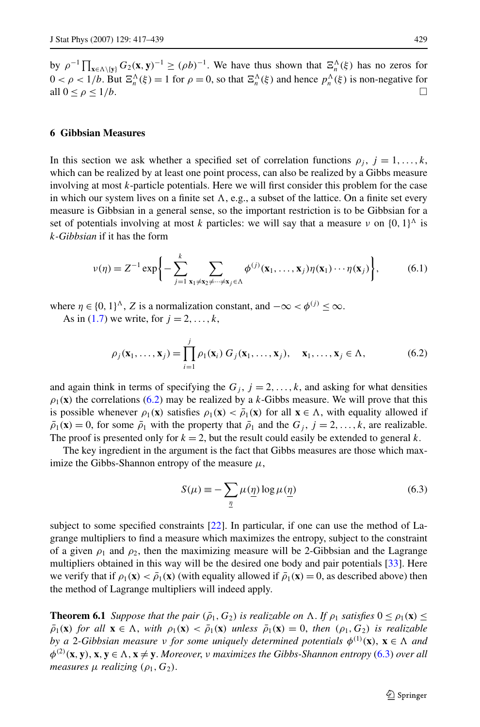<span id="page-12-0"></span>by  $\rho^{-1} \prod_{\mathbf{x} \in \Lambda \setminus \{\mathbf{y}\}} G_2(\mathbf{x}, \mathbf{y})^{-1} \geq (\rho b)^{-1}$ . We have thus shown that  $\Xi_n^{\Lambda}(\xi)$  has no zeros for  $0 < \rho < 1/b$ . But  $\Xi_n^{\Lambda}(\xi) = 1$  for  $\rho = 0$ , so that  $\Xi_n^{\Lambda}(\xi)$  and hence  $p_n^{\Lambda}(\xi)$  is non-negative for all  $0 \leq \rho \leq 1/b$ .

# **6 Gibbsian Measures**

In this section we ask whether a specified set of correlation functions  $\rho_j$ ,  $j = 1, \ldots, k$ , which can be realized by at least one point process, can also be realized by a Gibbs measure involving at most *k*-particle potentials. Here we will first consider this problem for the case in which our system lives on a finite set  $\Lambda$ , e.g., a subset of the lattice. On a finite set every measure is Gibbsian in a general sense, so the important restriction is to be Gibbsian for a set of potentials involving at most *k* particles: we will say that a measure *ν* on  $\{0, 1\}^{\Lambda}$  is *k-Gibbsian* if it has the form

$$
\nu(\eta) = Z^{-1} \exp\bigg\{-\sum_{j=1}^k \sum_{\mathbf{x}_1 \neq \mathbf{x}_2 \neq \dots \neq \mathbf{x}_j \in \Lambda} \phi^{(j)}(\mathbf{x}_1, \dots, \mathbf{x}_j) \eta(\mathbf{x}_1) \dots \eta(\mathbf{x}_j)\bigg\},
$$
(6.1)

where  $\eta \in \{0, 1\}^{\Lambda}$ , *Z* is a normalization constant, and  $-\infty < \phi^{(j)} \leq \infty$ .

As in ([1.7](#page-2-0)) we write, for  $j = 2, \ldots, k$ ,

$$
\rho_j(\mathbf{x}_1,\ldots,\mathbf{x}_j) = \prod_{i=1}^j \rho_1(\mathbf{x}_i) G_j(\mathbf{x}_1,\ldots,\mathbf{x}_j), \quad \mathbf{x}_1,\ldots,\mathbf{x}_j \in \Lambda,
$$
\n(6.2)

and again think in terms of specifying the  $G_j$ ,  $j = 2, ..., k$ , and asking for what densities  $\rho_1(\mathbf{x})$  the correlations (6.2) may be realized by a *k*-Gibbs measure. We will prove that this is possible whenever  $\rho_1(\mathbf{x})$  satisfies  $\rho_1(\mathbf{x}) < \overline{\rho}_1(\mathbf{x})$  for all  $\mathbf{x} \in \Lambda$ , with equality allowed if  $\bar{\rho}_1(\mathbf{x}) = 0$ , for some  $\bar{\rho}_1$  with the property that  $\bar{\rho}_1$  and the  $G_i$ ,  $j = 2, ..., k$ , are realizable. The proof is presented only for  $k = 2$ , but the result could easily be extended to general k.

The key ingredient in the argument is the fact that Gibbs measures are those which maximize the Gibbs-Shannon entropy of the measure  $\mu$ ,

$$
S(\mu) \equiv -\sum_{\underline{\eta}} \mu(\underline{\eta}) \log \mu(\underline{\eta})
$$
\n(6.3)

subject to some specified constraints [\[22\]](#page-22-0). In particular, if one can use the method of Lagrange multipliers to find a measure which maximizes the entropy, subject to the constraint of a given  $\rho_1$  and  $\rho_2$ , then the maximizing measure will be 2-Gibbsian and the Lagrange multipliers obtained in this way will be the desired one body and pair potentials [[33](#page-22-0)]. Here we verify that if  $\rho_1(\mathbf{x}) < \overline{\rho}_1(\mathbf{x})$  (with equality allowed if  $\overline{\rho}_1(\mathbf{x}) = 0$ , as described above) then the method of Lagrange multipliers will indeed apply.

**Theorem 6.1** *Suppose that the pair*  $(\bar{\rho}_1, G_2)$  *is realizable on*  $\Lambda$ *. If*  $\rho_1$  *satisfies*  $0 \le \rho_1(\mathbf{x}) \le$  $\bar{\rho}_1(\mathbf{x})$  for all  $\mathbf{x} \in \Lambda$ , with  $\rho_1(\mathbf{x}) < \bar{\rho}_1(\mathbf{x})$  unless  $\bar{\rho}_1(\mathbf{x}) = 0$ , then  $(\rho_1, G_2)$  is realizable *by a* 2*-Gibbsian measure ν for some uniquely determined potentials φ(*1*) (***x***)*, **x** ∈ *and*  $\phi^{(2)}(x, y)$ ,  $x, y \in \Lambda$ ,  $x \neq y$ . Moreover, *v* maximizes the Gibbs-Shannon entropy (6.3) over all *measures*  $\mu$  *realizing*  $(\rho_1, G_2)$ .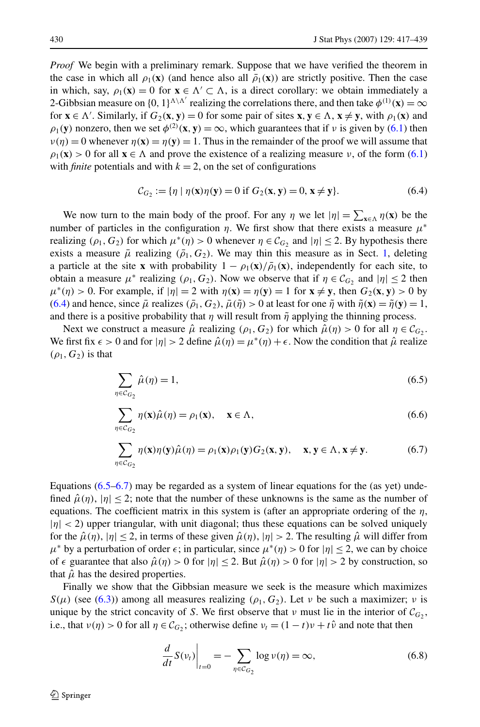<span id="page-13-0"></span>*Proof* We begin with a preliminary remark. Suppose that we have verified the theorem in the case in which all  $\rho_1(\mathbf{x})$  (and hence also all  $\bar{\rho}_1(\mathbf{x})$ ) are strictly positive. Then the case in which, say,  $\rho_1(\mathbf{x}) = 0$  for  $\mathbf{x} \in \Lambda' \subset \Lambda$ , is a direct corollary: we obtain immediately a 2-Gibbsian measure on  $\{0, 1\}^{\Lambda \setminus \Lambda'}$  realizing the correlations there, and then take  $\phi^{(1)}(\mathbf{x}) = \infty$ for  $\mathbf{x} \in \Lambda'$ . Similarly, if  $G_2(\mathbf{x}, \mathbf{y}) = 0$  for some pair of sites  $\mathbf{x}, \mathbf{y} \in \Lambda$ ,  $\mathbf{x} \neq \mathbf{y}$ , with  $\rho_1(\mathbf{x})$  and  $\rho_1(\mathbf{y})$  nonzero, then we set  $\phi^{(2)}(\mathbf{x}, \mathbf{y}) = \infty$ , which guarantees that if *v* is given by ([6.1\)](#page-12-0) then  $\nu(\eta) = 0$  whenever  $\eta(\mathbf{x}) = \eta(\mathbf{y}) = 1$ . Thus in the remainder of the proof we will assume that  $\rho_1(\mathbf{x}) > 0$  for all  $\mathbf{x} \in \Lambda$  and prove the existence of a realizing measure *ν*, of the form ([6.1](#page-12-0)) with *finite* potentials and with  $k = 2$ , on the set of configurations

$$
\mathcal{C}_{G_2} := \{ \eta \mid \eta(\mathbf{x})\eta(\mathbf{y}) = 0 \text{ if } G_2(\mathbf{x}, \mathbf{y}) = 0, \mathbf{x} \neq \mathbf{y} \}. \tag{6.4}
$$

We now turn to the main body of the proof. For any  $\eta$  we let  $|\eta| = \sum_{x \in \Lambda} \eta(x)$  be the number of particles in the configuration  $\eta$ . We first show that there exists a measure  $\mu^*$ realizing  $(\rho_1, G_2)$  for which  $\mu^*(\eta) > 0$  whenever  $\eta \in C_G$ , and  $|\eta| \leq 2$ . By hypothesis there exists a measure  $\bar{\mu}$  realizing  $(\bar{\rho}_1, G_2)$  $(\bar{\rho}_1, G_2)$  $(\bar{\rho}_1, G_2)$ . We may thin this measure as in Sect. 1, deleting a particle at the site **x** with probability  $1 - \rho_1(\mathbf{x})/\overline{\rho}_1(\mathbf{x})$ , independently for each site, to obtain a measure  $\mu^*$  realizing  $(\rho_1, G_2)$ . Now we observe that if  $\eta \in C_G$  and  $|\eta| \leq 2$  then  $\mu^*(\eta) > 0$ . For example, if  $|\eta| = 2$  with  $\eta(\mathbf{x}) = \eta(\mathbf{y}) = 1$  for  $\mathbf{x} \neq \mathbf{y}$ , then  $G_2(\mathbf{x}, \mathbf{y}) > 0$  by (6.4) and hence, since  $\bar{\mu}$  realizes  $(\bar{\rho}_1, G_2)$ ,  $\bar{\mu}(\tilde{\eta}) > 0$  at least for one  $\tilde{\eta}$  with  $\tilde{\eta}(\mathbf{x}) = \tilde{\eta}(\mathbf{y}) = 1$ , and there is a positive probability that  $\eta$  will result from  $\tilde{\eta}$  applying the thinning process.

Next we construct a measure  $\hat{\mu}$  realizing  $(\rho_1, G_2)$  for which  $\hat{\mu}(\eta) > 0$  for all  $\eta \in C_G$ . We first fix  $\epsilon > 0$  and for  $|\eta| > 2$  define  $\hat{\mu}(\eta) = \mu^*(\eta) + \epsilon$ . Now the condition that  $\hat{\mu}$  realize  $(\rho_1, G_2)$  is that

$$
\sum_{\eta \in C_{G_2}} \hat{\mu}(\eta) = 1,\tag{6.5}
$$

$$
\sum_{\eta \in C_{G_2}} \eta(\mathbf{x}) \hat{\mu}(\eta) = \rho_1(\mathbf{x}), \quad \mathbf{x} \in \Lambda,
$$
\n(6.6)

$$
\sum_{\eta \in C_{G_2}} \eta(\mathbf{x}) \eta(\mathbf{y}) \hat{\mu}(\eta) = \rho_1(\mathbf{x}) \rho_1(\mathbf{y}) G_2(\mathbf{x}, \mathbf{y}), \quad \mathbf{x}, \mathbf{y} \in \Lambda, \mathbf{x} \neq \mathbf{y}.
$$
 (6.7)

Equations  $(6.5–6.7)$  may be regarded as a system of linear equations for the (as yet) undefined  $\hat{\mu}(\eta)$ ,  $|\eta| \leq 2$ ; note that the number of these unknowns is the same as the number of equations. The coefficient matrix in this system is (after an appropriate ordering of the  $\eta$ ,  $|\eta|$  < 2) upper triangular, with unit diagonal; thus these equations can be solved uniquely for the  $\hat{\mu}(\eta)$ ,  $|\eta| \leq 2$ , in terms of these given  $\hat{\mu}(\eta)$ ,  $|\eta| > 2$ . The resulting  $\hat{\mu}$  will differ from  $\mu^*$  by a perturbation of order  $\epsilon$ ; in particular, since  $\mu^*(\eta) > 0$  for  $|\eta| \leq 2$ , we can by choice of  $\epsilon$  guarantee that also  $\hat{\mu}(\eta) > 0$  for  $|\eta| \le 2$ . But  $\hat{\mu}(\eta) > 0$  for  $|\eta| > 2$  by construction, so that  $\hat{\mu}$  has the desired properties.

Finally we show that the Gibbsian measure we seek is the measure which maximizes  $S(\mu)$  (see [\(6.3\)](#page-12-0)) among all measures realizing  $(\rho_1, G_2)$ . Let *ν* be such a maximizer; *ν* is unique by the strict concavity of *S*. We first observe that *ν* must lie in the interior of  $\mathcal{C}_G$ <sub>2</sub>, i.e., that  $v(\eta) > 0$  for all  $\eta \in C_G$ ; otherwise define  $v_t = (1 - t)v + t\hat{v}$  and note that then

$$
\left. \frac{d}{dt} S(v_t) \right|_{t=0} = -\sum_{\eta \in C_{G_2}} \log \nu(\eta) = \infty, \tag{6.8}
$$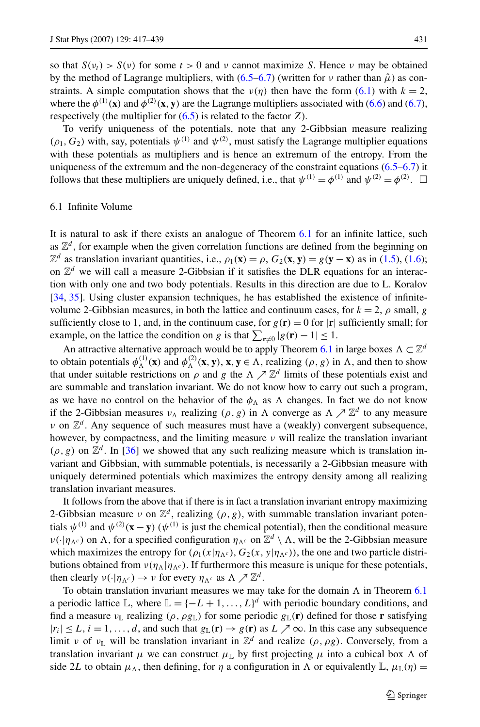so that  $S(\nu) > S(\nu)$  for some  $t > 0$  and  $\nu$  cannot maximize *S*. Hence  $\nu$  may be obtained by the method of Lagrange multipliers, with  $(6.5-6.7)$  $(6.5-6.7)$  $(6.5-6.7)$  (written for *ν* rather than  $\hat{\mu}$ ) as constraints. A simple computation shows that the  $v(\eta)$  then have the form ([6.1](#page-12-0)) with  $k = 2$ , where the  $\phi^{(1)}(x)$  and  $\phi^{(2)}(x, y)$  are the Lagrange multipliers associated with [\(6.6](#page-13-0)) and [\(6.7](#page-13-0)), respectively (the multiplier for ([6.5\)](#page-13-0) is related to the factor *Z*).

To verify uniqueness of the potentials, note that any 2-Gibbsian measure realizing  $(\rho_1, G_2)$  with, say, potentials  $\psi^{(1)}$  and  $\psi^{(2)}$ , must satisfy the Lagrange multiplier equations with these potentials as multipliers and is hence an extremum of the entropy. From the uniqueness of the extremum and the non-degeneracy of the constraint equations  $(6.5–6.7)$  $(6.5–6.7)$  $(6.5–6.7)$  it follows that these multipliers are uniquely defined, i.e., that  $\psi^{(1)} = \phi^{(1)}$  and  $\psi^{(2)} = \phi^{(2)}$ .  $\Box$ 

# 6.1 Infinite Volume

It is natural to ask if there exists an analogue of Theorem [6.1](#page-12-0) for an infinite lattice, such as  $\mathbb{Z}^d$ , for example when the given correlation functions are defined from the beginning on  $\mathbb{Z}^d$  as translation invariant quantities, i.e.,  $\rho_1(\mathbf{x}) = \rho$ ,  $G_2(\mathbf{x}, \mathbf{y}) = g(\mathbf{y} - \mathbf{x})$  as in ([1.5\)](#page-2-0), ([1.6\)](#page-2-0); on  $\mathbb{Z}^d$  we will call a measure 2-Gibbsian if it satisfies the DLR equations for an interaction with only one and two body potentials. Results in this direction are due to L. Koralov [[34](#page-22-0), [35\]](#page-22-0). Using cluster expansion techniques, he has established the existence of infinitevolume 2-Gibbsian measures, in both the lattice and continuum cases, for  $k = 2$ ,  $\rho$  small,  $g$ sufficiently close to 1, and, in the continuum case, for  $g(\mathbf{r}) = 0$  for  $|\mathbf{r}|$  sufficiently small; for example, on the lattice the condition on *g* is that  $\sum_{\mathbf{r}\neq 0} |g(\mathbf{r}) - 1| \leq 1$ .

An attractive alternative approach would be to apply Theorem [6.1](#page-12-0) in large boxes  $\Lambda \subset \mathbb{Z}^d$ to obtain potentials  $\phi_{\Lambda}^{(1)}(\mathbf{x})$  and  $\phi_{\Lambda}^{(2)}(\mathbf{x}, \mathbf{y})$ ,  $\mathbf{x}, \mathbf{y} \in \Lambda$ , realizing  $(\rho, g)$  in  $\Lambda$ , and then to show that under suitable restrictions on  $\rho$  and  $g$  the  $\Lambda \nearrow \mathbb{Z}^d$  limits of these potentials exist and are summable and translation invariant. We do not know how to carry out such a program, as we have no control on the behavior of the  $\phi_{\Lambda}$  as  $\Lambda$  changes. In fact we do not know if the 2-Gibbsian measures  $v_{\Lambda}$  realizing  $(\rho, g)$  in  $\Lambda$  converge as  $\Lambda \nearrow \mathbb{Z}^d$  to any measure *ν* on  $\mathbb{Z}^d$ . Any sequence of such measures must have a (weakly) convergent subsequence, however, by compactness, and the limiting measure *ν* will realize the translation invariant  $(\rho, g)$  on  $\mathbb{Z}^d$ . In [[36](#page-22-0)] we showed that any such realizing measure which is translation invariant and Gibbsian, with summable potentials, is necessarily a 2-Gibbsian measure with uniquely determined potentials which maximizes the entropy density among all realizing translation invariant measures.

It follows from the above that if there is in fact a translation invariant entropy maximizing 2-Gibbsian measure *ν* on  $\mathbb{Z}^d$ , realizing  $(\rho, g)$ , with summable translation invariant potentials  $\psi^{(1)}$  and  $\psi^{(2)}(\mathbf{x}-\mathbf{y})$  ( $\psi^{(1)}$  is just the chemical potential), then the conditional measure *ν*( $\cdot$ |*η*<sub>Λ</sub>*c*) on Λ, for a specified configuration *η*<sub>Λ</sub>*c* on  $\mathbb{Z}^d \setminus \Lambda$ , will be the 2-Gibbsian measure which maximizes the entropy for  $(\rho_1(x|\eta_{\Lambda^c}), G_2(x, y|\eta_{\Lambda^c}))$ , the one and two particle distributions obtained from  $\nu(\eta_{\Lambda}|\eta_{\Lambda^c})$ . If furthermore this measure is unique for these potentials, then clearly  $v(\cdot|\eta_{\Lambda^c}) \to v$  for every  $\eta_{\Lambda^c}$  as  $\Lambda \nearrow \mathbb{Z}^d$ .

To obtain translation invariant measures we may take for the domain  $\Lambda$  in Theorem [6.1](#page-12-0) a periodic lattice L, where  $\mathbb{L} = \{-L+1, \ldots, L\}^d$  with periodic boundary conditions, and find a measure  $v_{\mathbb{L}}$  realizing  $(\rho, \rho g_{\mathbb{L}})$  for some periodic  $g_{\mathbb{L}}(\mathbf{r})$  defined for those **r** satisfying  $|r_i| \leq L$ ,  $i = 1, ..., d$ , and such that  $g_L(\mathbf{r}) \to g(\mathbf{r})$  as  $L \nearrow \infty$ . In this case any subsequence limit *ν* of *ν*<sub>L</sub> will be translation invariant in  $\mathbb{Z}^d$  and realize  $(\rho, \rho g)$ . Conversely, from a translation invariant  $\mu$  we can construct  $\mu_{\mathbb{L}}$  by first projecting  $\mu$  into a cubical box  $\Lambda$  of side 2*L* to obtain  $\mu_{\Lambda}$ , then defining, for  $\eta$  a configuration in  $\Lambda$  or equivalently  $\mathbb{L}, \mu_{\mathbb{L}}(\eta) =$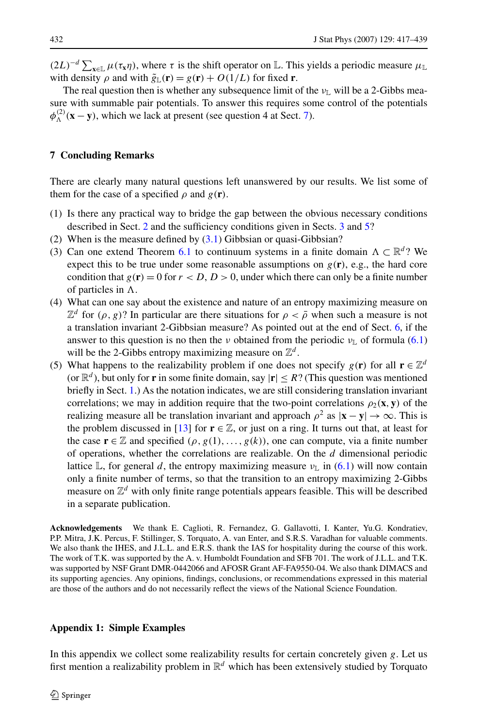<span id="page-15-0"></span> $(2L)^{-d} \sum_{\mathbf{x} \in \mathbb{L}} \mu(\tau_{\mathbf{x}} \eta)$ , where  $\tau$  is the shift operator on L. This yields a periodic measure  $\mu_{\mathbb{L}}$ with density  $\rho$  and with  $\tilde{g}_{\parallel}(\mathbf{r}) = g(\mathbf{r}) + O(1/L)$  for fixed **r**.

The real question then is whether any subsequence limit of the  $v_{\mathbb{L}}$  will be a 2-Gibbs measure with summable pair potentials. To answer this requires some control of the potentials  $\phi_{\Lambda}^{(2)}$  (**x** − **y**), which we lack at present (see question 4 at Sect. 7).

# **7 Concluding Remarks**

There are clearly many natural questions left unanswered by our results. We list some of them for the case of a specified  $\rho$  and  $g(\mathbf{r})$ .

- (1) Is there any practical way to bridge the gap between the obvious necessary conditions described in Sect. [2](#page-3-0) and the sufficiency conditions given in Sects. [3](#page-4-0) and [5?](#page-10-0)
- (2) When is the measure defined by  $(3.1)$  $(3.1)$  Gibbsian or quasi-Gibbsian?
- (3) Can one extend Theorem [6.1](#page-12-0) to continuum systems in a finite domain  $\Lambda \subset \mathbb{R}^d$ ? We expect this to be true under some reasonable assumptions on  $g(\mathbf{r})$ , e.g., the hard core condition that  $g(\mathbf{r}) = 0$  for  $r < D$ ,  $D > 0$ , under which there can only be a finite number of particles in  $\Lambda$ .
- (4) What can one say about the existence and nature of an entropy maximizing measure on  $\mathbb{Z}^d$  for  $(\rho, g)$ ? In particular are there situations for  $\rho < \overline{\rho}$  when such a measure is not a translation invariant 2-Gibbsian measure? As pointed out at the end of Sect. [6](#page-12-0), if the answer to this question is no then the *ν* obtained from the periodic  $v_{\perp}$  of formula ([6.1](#page-12-0)) will be the 2-Gibbs entropy maximizing measure on  $\mathbb{Z}^d$ .
- (5) What happens to the realizability problem if one does not specify  $g(\mathbf{r})$  for all  $\mathbf{r} \in \mathbb{Z}^d$ (or  $\mathbb{R}^d$ ), but only for **r** in some finite domain, say  $|\mathbf{r}| \leq R$ ? (This question was mentioned briefly in Sect. [1](#page-0-0).) As the notation indicates, we are still considering translation invariant correlations; we may in addition require that the two-point correlations  $\rho_2(\mathbf{x}, \mathbf{y})$  of the realizing measure all be translation invariant and approach  $\rho^2$  as  $|\mathbf{x} - \mathbf{y}| \to \infty$ . This is the problem discussed in [[13](#page-22-0)] for  $\mathbf{r} \in \mathbb{Z}$ , or just on a ring. It turns out that, at least for the case  $\mathbf{r} \in \mathbb{Z}$  and specified  $(\rho, g(1), \ldots, g(k))$ , one can compute, via a finite number of operations, whether the correlations are realizable. On the *d* dimensional periodic lattice L, for general *d*, the entropy maximizing measure  $v_{\text{L}}$  in [\(6.1](#page-12-0)) will now contain only a finite number of terms, so that the transition to an entropy maximizing 2-Gibbs measure on Z*<sup>d</sup>* with only finite range potentials appears feasible. This will be described in a separate publication.

**Acknowledgements** We thank E. Caglioti, R. Fernandez, G. Gallavotti, I. Kanter, Yu.G. Kondratiev, P.P. Mitra, J.K. Percus, F. Stillinger, S. Torquato, A. van Enter, and S.R.S. Varadhan for valuable comments. We also thank the IHES, and J.L.L. and E.R.S. thank the IAS for hospitality during the course of this work. The work of T.K. was supported by the A. v. Humboldt Foundation and SFB 701. The work of J.L.L. and T.K. was supported by NSF Grant DMR-0442066 and AFOSR Grant AF-FA9550-04. We also thank DIMACS and its supporting agencies. Any opinions, findings, conclusions, or recommendations expressed in this material are those of the authors and do not necessarily reflect the views of the National Science Foundation.

# **Appendix 1: Simple Examples**

In this appendix we collect some realizability results for certain concretely given *g*. Let us first mention a realizability problem in  $\mathbb{R}^d$  which has been extensively studied by Torquato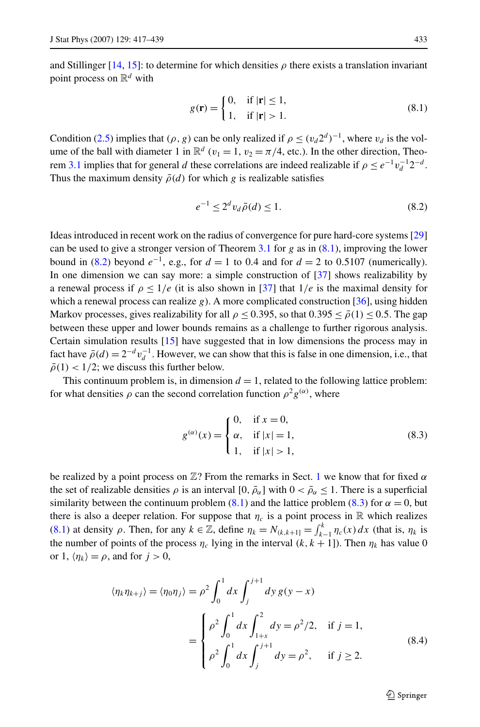<span id="page-16-0"></span>and Stillinger [\[14,](#page-22-0) [15\]](#page-22-0): to determine for which densities  $\rho$  there exists a translation invariant point process on  $\mathbb{R}^d$  with

$$
g(\mathbf{r}) = \begin{cases} 0, & \text{if } |\mathbf{r}| \le 1, \\ 1, & \text{if } |\mathbf{r}| > 1. \end{cases} \tag{8.1}
$$

Condition ([2.5\)](#page-3-0) implies that  $(\rho, g)$  can be only realized if  $\rho \le (v_d 2^d)^{-1}$ , where  $v_d$  is the volume of the ball with diameter 1 in  $\mathbb{R}^d$  ( $v_1 = 1$ ,  $v_2 = \pi/4$ , etc.). In the other direction, Theo-rem [3.1](#page-6-0) implies that for general *d* these correlations are indeed realizable if  $\rho \le e^{-1}v_d^{-1}2^{-d}$ . Thus the maximum density  $\bar{\rho}(d)$  for which *g* is realizable satisfies

$$
e^{-1} \le 2^d v_d \bar{\rho}(d) \le 1. \tag{8.2}
$$

Ideas introduced in recent work on the radius of convergence for pure hard-core systems [[29](#page-22-0)] can be used to give a stronger version of Theorem [3.1](#page-6-0) for  $g$  as in  $(8.1)$ , improving the lower bound in (8.2) beyond  $e^{-1}$ , e.g., for  $d = 1$  to 0.4 and for  $d = 2$  to 0.5107 (numerically). In one dimension we can say more: a simple construction of [[37](#page-22-0)] shows realizability by a renewal process if  $\rho \leq 1/e$  (it is also shown in [\[37\]](#page-22-0) that  $1/e$  is the maximal density for which a renewal process can realize *g*). A more complicated construction [\[36\]](#page-22-0), using hidden Markov processes, gives realizability for all  $\rho \le 0.395$ , so that  $0.395 \le \bar{\rho}(1) \le 0.5$ . The gap between these upper and lower bounds remains as a challenge to further rigorous analysis. Certain simulation results [[15](#page-22-0)] have suggested that in low dimensions the process may in fact have  $\bar{\rho}(d) = 2^{-d} v_d^{-1}$ . However, we can show that this is false in one dimension, i.e., that  $\bar{\rho}(1)$  < 1/2; we discuss this further below.

This continuum problem is, in dimension  $d = 1$ , related to the following lattice problem: for what densities  $\rho$  can the second correlation function  $\rho^2 g^{(\alpha)}$ , where

$$
g^{(\alpha)}(x) = \begin{cases} 0, & \text{if } x = 0, \\ \alpha, & \text{if } |x| = 1, \\ 1, & \text{if } |x| > 1, \end{cases}
$$
 (8.3)

be realized by a point process on  $\mathbb{Z}$ ? From the remarks in Sect. [1](#page-0-0) we know that for fixed  $\alpha$ the set of realizable densities  $\rho$  is an interval  $[0, \bar{\rho}_{\alpha}]$  with  $0 < \bar{\rho}_{\alpha} \leq 1$ . There is a superficial similarity between the continuum problem (8.1) and the lattice problem (8.3) for  $\alpha = 0$ , but there is also a deeper relation. For suppose that  $\eta_c$  is a point process in R which realizes (8.1) at density  $\rho$ . Then, for any  $k \in \mathbb{Z}$ , define  $\eta_k = N_{(k,k+1)} = \int_{k-1}^k \eta_c(x) dx$  (that is,  $\eta_k$  is the number of points of the process  $\eta_c$  lying in the interval  $(k, k + 1]$ ). Then  $\eta_k$  has value 0 or 1,  $\langle \eta_k \rangle = \rho$ , and for  $j > 0$ ,

$$
\langle \eta_k \eta_{k+j} \rangle = \langle \eta_0 \eta_j \rangle = \rho^2 \int_0^1 dx \int_j^{j+1} dy g(y - x)
$$
  
= 
$$
\begin{cases} \rho^2 \int_0^1 dx \int_{1+x}^2 dy = \rho^2 / 2, & \text{if } j = 1, \\ \rho^2 \int_0^1 dx \int_j^{j+1} dy = \rho^2, & \text{if } j \ge 2. \end{cases}
$$
(8.4)

 $\mathcal{D}$  Springer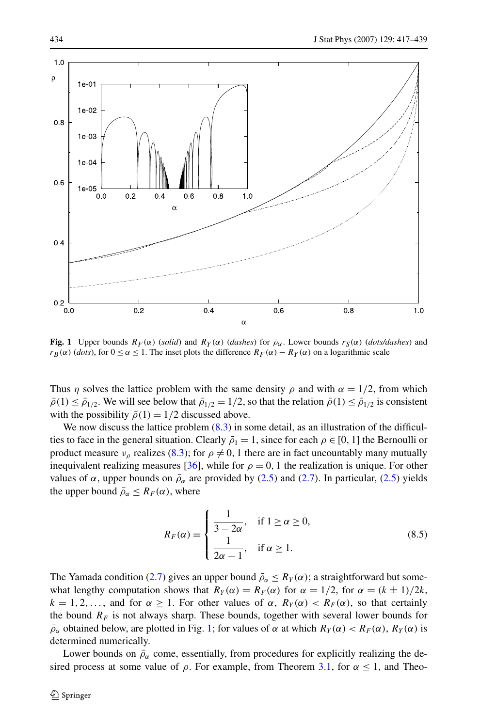<span id="page-17-0"></span>

**Fig. 1** Upper bounds  $R_F(\alpha)$  (*solid*) and  $R_Y(\alpha)$  (*dashes*) for  $\bar{\rho}_{\alpha}$ . Lower bounds  $r_S(\alpha)$  (*dots/dashes*) and  $r_B(\alpha)$  (*dots*), for  $0 \le \alpha \le 1$ . The inset plots the difference  $R_F(\alpha) - R_Y(\alpha)$  on a logarithmic scale

Thus *η* solves the lattice problem with the same density  $\rho$  and with  $\alpha = 1/2$ , from which  $\bar{\rho}(1) \leq \bar{\rho}_{1/2}$ . We will see below that  $\bar{\rho}_{1/2} = 1/2$ , so that the relation  $\bar{\rho}(1) \leq \bar{\rho}_{1/2}$  is consistent with the possibility  $\bar{\rho}(1) = 1/2$  discussed above.

We now discuss the lattice problem  $(8.3)$  in some detail, as an illustration of the difficulties to face in the general situation. Clearly  $\bar{\rho}_1 = 1$ , since for each  $\rho \in [0, 1]$  the Bernoulli or product measure  $v_\rho$  realizes ([8.3\)](#page-16-0); for  $\rho \neq 0$ , 1 there are in fact uncountably many mutually inequivalent realizing measures [\[36\]](#page-22-0), while for  $\rho = 0$ , 1 the realization is unique. For other values of  $\alpha$ , upper bounds on  $\bar{\rho}_{\alpha}$  are provided by [\(2.5\)](#page-3-0) and [\(2.7](#page-4-0)). In particular, [\(2.5](#page-3-0)) yields the upper bound  $\bar{\rho}_{\alpha} \leq R_F(\alpha)$ , where

$$
R_F(\alpha) = \begin{cases} \frac{1}{3 - 2\alpha}, & \text{if } 1 \ge \alpha \ge 0, \\ \frac{1}{2\alpha - 1}, & \text{if } \alpha \ge 1. \end{cases}
$$
(8.5)

The Yamada condition ([2.7\)](#page-4-0) gives an upper bound  $\bar{\rho}_{\alpha} \leq R_Y(\alpha)$ ; a straightforward but somewhat lengthy computation shows that  $R_Y(\alpha) = R_F(\alpha)$  for  $\alpha = 1/2$ , for  $\alpha = (k \pm 1)/2k$ ,  $k = 1, 2, \ldots$ , and for  $\alpha \ge 1$ . For other values of  $\alpha$ ,  $R_Y(\alpha) < R_F(\alpha)$ , so that certainly the bound  $R_F$  is not always sharp. These bounds, together with several lower bounds for  $\rho_{\alpha}$  obtained below, are plotted in Fig. 1; for values of  $\alpha$  at which  $R_Y(\alpha) < R_F(\alpha)$ ,  $R_Y(\alpha)$  is determined numerically.

Lower bounds on  $\bar{\rho}_{\alpha}$  come, essentially, from procedures for explicitly realizing the desired process at some value of  $\rho$ . For example, from Theorem [3.1,](#page-6-0) for  $\alpha \le 1$ , and Theo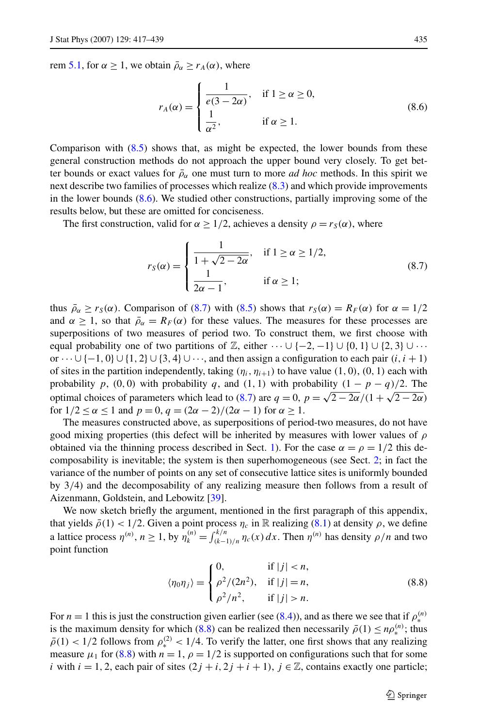<span id="page-18-0"></span>rem [5.1,](#page-11-0) for  $\alpha \ge 1$ , we obtain  $\bar{\rho}_{\alpha} \ge r_A(\alpha)$ , where

$$
r_A(\alpha) = \begin{cases} \frac{1}{e(3-2\alpha)}, & \text{if } 1 \ge \alpha \ge 0, \\ \frac{1}{\alpha^2}, & \text{if } \alpha \ge 1. \end{cases}
$$
 (8.6)

Comparison with  $(8.5)$  shows that, as might be expected, the lower bounds from these general construction methods do not approach the upper bound very closely. To get better bounds or exact values for  $\bar{\rho}_{\alpha}$  one must turn to more *ad hoc* methods. In this spirit we next describe two families of processes which realize [\(8.3](#page-16-0)) and which provide improvements in the lower bounds (8.6). We studied other constructions, partially improving some of the results below, but these are omitted for conciseness.

The first construction, valid for  $\alpha \geq 1/2$ , achieves a density  $\rho = r_S(\alpha)$ , where

$$
r_S(\alpha) = \begin{cases} \frac{1}{1 + \sqrt{2 - 2\alpha}}, & \text{if } 1 \ge \alpha \ge 1/2, \\ \frac{1}{2\alpha - 1}, & \text{if } \alpha \ge 1; \end{cases}
$$
(8.7)

thus  $\bar{\rho}_{\alpha} \ge r_S(\alpha)$ . Comparison of (8.7) with ([8.5\)](#page-17-0) shows that  $r_S(\alpha) = R_F(\alpha)$  for  $\alpha = 1/2$ and  $\alpha \geq 1$ , so that  $\bar{\rho}_{\alpha} = R_F(\alpha)$  for these values. The measures for these processes are superpositions of two measures of period two. To construct them, we first choose with equal probability one of two partitions of  $\mathbb{Z}$ , either  $\cdots \cup \{-2, -1\} \cup \{0, 1\} \cup \{2, 3\} \cup \cdots$ or  $\cdots$   $\cup$  {-1, 0}  $\cup$  {1, 2}  $\cup$  {3, 4} $\cup \cdots$ , and then assign a configuration to each pair *(i, i +* 1) of sites in the partition independently, taking  $(\eta_i, \eta_{i+1})$  to have value  $(1, 0)$ ,  $(0, 1)$  each with probability  $p$ ,  $(0, 0)$  with probability  $q$ , and  $(1, 1)$  with probability  $(1 - p - q)/2$ . The optimal choices of parameters which lead to (8.7) are  $q = 0$ ,  $p = \sqrt{2 - 2\alpha}/(1 + \sqrt{2 - 2\alpha})$ for  $1/2 \le \alpha \le 1$  and  $p = 0$ ,  $q = (2\alpha - 2)/(2\alpha - 1)$  for  $\alpha \ge 1$ .

The measures constructed above, as superpositions of period-two measures, do not have good mixing properties (this defect will be inherited by measures with lower values of *ρ* obtained via the thinning process described in Sect. [1](#page-0-0)). For the case  $\alpha = \rho = 1/2$  this decomposability is inevitable; the system is then superhomogeneous (see Sect. [2](#page-3-0); in fact the variance of the number of points on any set of consecutive lattice sites is uniformly bounded by 3*/*4) and the decomposability of any realizing measure then follows from a result of Aizenmann, Goldstein, and Lebowitz [[39](#page-22-0)].

We now sketch briefly the argument, mentioned in the first paragraph of this appendix, that yields  $\bar{\rho}(1) < 1/2$ . Given a point process  $\eta_c$  in R realizing [\(8.1\)](#page-16-0) at density  $\rho$ , we define a lattice process  $\eta^{(n)}$ ,  $n \ge 1$ , by  $\eta_k^{(n)} = \int_{(k-1)/n}^{k/n} \eta_c(x) dx$ . Then  $\eta^{(n)}$  has density  $\rho/n$  and two point function

$$
\langle \eta_0 \eta_j \rangle = \begin{cases} 0, & \text{if } |j| < n, \\ \rho^2/(2n^2), & \text{if } |j| = n, \\ \rho^2/n^2, & \text{if } |j| > n. \end{cases} \tag{8.8}
$$

For *n* = 1 this is just the construction given earlier (see [\(8.4](#page-16-0))), and as there we see that if  $\rho_*^{(n)}$ is the maximum density for which (8.8) can be realized then necessarily  $\bar{\rho}(1) \leq n\rho_*^{(n)}$ ; thus  $\bar{\rho}(1) < 1/2$  follows from  $\rho_*^{(2)} < 1/4$ . To verify the latter, one first shows that any realizing measure  $\mu_1$  for (8.8) with  $n = 1$ ,  $\rho = 1/2$  is supported on configurations such that for some *i* with  $i = 1, 2$ , each pair of sites  $(2j + i, 2j + i + 1)$ ,  $j \in \mathbb{Z}$ , contains exactly one particle;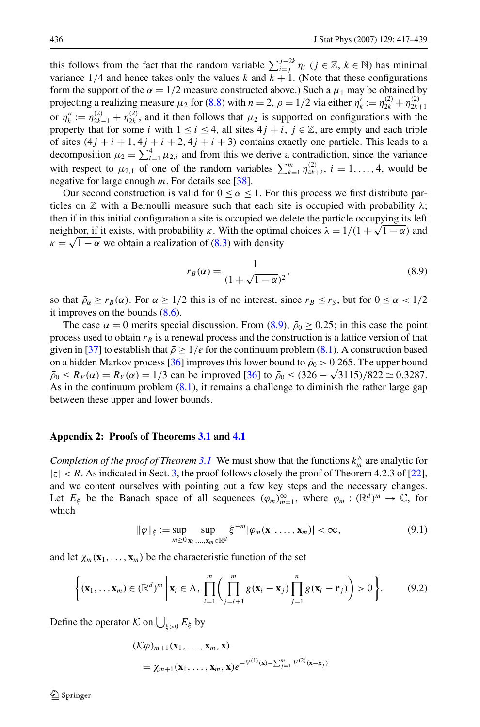<span id="page-19-0"></span>this follows from the fact that the random variable  $\sum_{i=j}^{j+2k} \eta_i$  ( $j \in \mathbb{Z}$ ,  $k \in \mathbb{N}$ ) has minimal variance 1/4 and hence takes only the values *k* and  $k + 1$ . (Note that these configurations form the support of the  $\alpha = 1/2$  measure constructed above.) Such a  $\mu_1$  may be obtained by projecting a realizing measure  $\mu_2$  for [\(8.8\)](#page-18-0) with  $n = 2$ ,  $\rho = 1/2$  via either  $\eta'_k := \eta_{2k}^{(2)} + \eta_{2k+1}^{(2)}$ or  $\eta_k'' := \eta_{2k-1}^{(2)} + \eta_{2k}^{(2)}$ , and it then follows that  $\mu_2$  is supported on configurations with the property that for some *i* with  $1 \le i \le 4$ , all sites  $4j + i$ ,  $j \in \mathbb{Z}$ , are empty and each triple of sites  $(4j + i + 1, 4j + i + 2, 4j + i + 3)$  contains exactly one particle. This leads to a decomposition  $\mu_2 = \sum_{i=1}^4 \mu_{2,i}$  and from this we derive a contradiction, since the variance with respect to  $\mu_{2,1}$  of one of the random variables  $\sum_{k=1}^{m} \eta_{4k+i}^{(2)}$ ,  $i = 1, ..., 4$ , would be negative for large enough *m*. For details see [[38](#page-22-0)].

Our second construction is valid for  $0 \le \alpha \le 1$ . For this process we first distribute particles on  $\mathbb Z$  with a Bernoulli measure such that each site is occupied with probability  $\lambda$ ; then if in this initial configuration a site is occupied we delete the particle occupying its left neighbor, if it exists, with probability *κ*. With the optimal choices  $\lambda = 1/(1 + \sqrt{1 - \alpha})$  and  $\kappa = \sqrt{1 - \alpha}$  we obtain a realization of [\(8.3](#page-16-0)) with density

$$
r_B(\alpha) = \frac{1}{(1 + \sqrt{1 - \alpha})^2},
$$
\n(8.9)

so that  $\bar{\rho}_{\alpha} \ge r_B(\alpha)$ . For  $\alpha \ge 1/2$  this is of no interest, since  $r_B \le r_S$ , but for  $0 \le \alpha < 1/2$ it improves on the bounds  $(8.6)$  $(8.6)$ .

The case  $\alpha = 0$  merits special discussion. From (8.9),  $\bar{\rho}_0 \ge 0.25$ ; in this case the point process used to obtain  $r_B$  is a renewal process and the construction is a lattice version of that given in [[37](#page-22-0)] to establish that  $\bar{\rho} \ge 1/e$  for the continuum problem [\(8.1](#page-16-0)). A construction based on a hidden Markov process [\[36\]](#page-22-0) improves this lower bound to  $\bar{\rho}_0 > 0.265$ . The upper bound  $\bar{\rho}_0 \le R_F(\alpha) = R_Y(\alpha) = 1/3$  can be improved [\[36\]](#page-22-0) to  $\bar{\rho}_0 \le (326 - \sqrt{3115})/822 \approx 0.3287$ . As in the continuum problem [\(8.1](#page-16-0)), it remains a challenge to diminish the rather large gap between these upper and lower bounds.

# **Appendix 2: Proofs of Theorems [3.1](#page-6-0) and [4.1](#page-9-0)**

*Completion of the proof of Theorem [3.1](#page-6-0)* We must show that the functions  $k_m^{\Lambda}$  are analytic for  $|z| < R$ . As indicated in Sect. [3,](#page-4-0) the proof follows closely the proof of Theorem 4.2.3 of [[22](#page-22-0)], and we content ourselves with pointing out a few key steps and the necessary changes. Let  $E_{\xi}$  be the Banach space of all sequences  $(\varphi_m)_{m=1}^{\infty}$ , where  $\varphi_m : (\mathbb{R}^d)^m \to \mathbb{C}$ , for which

$$
\|\varphi\|_{\xi} := \sup_{m \geq 0} \sup_{\mathbf{x}_1, \dots, \mathbf{x}_m \in \mathbb{R}^d} \xi^{-m} |\varphi_m(\mathbf{x}_1, \dots, \mathbf{x}_m)| < \infty,
$$
\n(9.1)

and let  $\chi_m(\mathbf{x}_1,\ldots,\mathbf{x}_m)$  be the characteristic function of the set

$$
\left\{(\mathbf{x}_1,\ldots,\mathbf{x}_m)\in(\mathbb{R}^d)^m\;\middle|\;\mathbf{x}_i\in\Lambda,\;\prod_{i=1}^m\left(\prod_{j=i+1}^mg(\mathbf{x}_i-\mathbf{x}_j)\prod_{j=1}^ng(\mathbf{x}_i-\mathbf{r}_j)\right)>0\right\}.\tag{9.2}
$$

Define the operator  $\mathcal K$  on  $\bigcup_{\xi>0} E_{\xi}$  by

$$
\begin{aligned} (\mathcal{K}\varphi)_{m+1}(\mathbf{x}_1,\ldots,\mathbf{x}_m,\mathbf{x}) \\ &= \chi_{m+1}(\mathbf{x}_1,\ldots,\mathbf{x}_m,\mathbf{x})e^{-V^{(1)}(\mathbf{x})-\sum_{j=1}^m V^{(2)}(\mathbf{x}-\mathbf{x}_j)} \end{aligned}
$$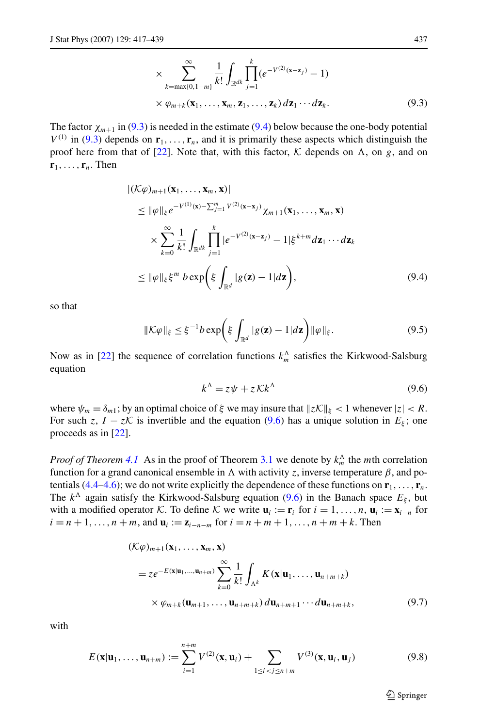$$
\times \sum_{k=\max\{0,1-m\}}^{\infty} \frac{1}{k!} \int_{\mathbb{R}^{dk}} \prod_{j=1}^{k} (e^{-V^{(2)}(\mathbf{x}-\mathbf{z}_j)} - 1)
$$
  
 
$$
\times \varphi_{m+k}(\mathbf{x}_1,\ldots,\mathbf{x}_m,\mathbf{z}_1,\ldots,\mathbf{z}_k) d\mathbf{z}_1 \cdots d\mathbf{z}_k.
$$
 (9.3)

<span id="page-20-0"></span>The factor  $\chi_{m+1}$  in [\(9.3](#page-19-0)) is needed in the estimate (9.4) below because the one-body potential  $V^{(1)}$  in [\(9.3](#page-19-0)) depends on  $\mathbf{r}_1, \ldots, \mathbf{r}_n$ , and it is primarily these aspects which distinguish the proof here from that of [[22](#page-22-0)]. Note that, with this factor,  $K$  depends on  $\Lambda$ , on *g*, and on  $\mathbf{r}_1, \ldots, \mathbf{r}_n$ . Then

$$
|(\mathcal{K}\varphi)_{m+1}(\mathbf{x}_1,\ldots,\mathbf{x}_m,\mathbf{x})|
$$
  
\n
$$
\leq \|\varphi\|_{\xi}e^{-V^{(1)}(\mathbf{x})-\sum_{j=1}^m V^{(2)}(\mathbf{x}-\mathbf{x}_j)}\chi_{m+1}(\mathbf{x}_1,\ldots,\mathbf{x}_m,\mathbf{x})
$$
  
\n
$$
\times \sum_{k=0}^{\infty} \frac{1}{k!} \int_{\mathbb{R}^{dk}} \prod_{j=1}^k |e^{-V^{(2)}(\mathbf{x}-\mathbf{z}_j)} - 1|\xi^{k+m} d\mathbf{z}_1 \cdots d\mathbf{z}_k
$$
  
\n
$$
\leq \|\varphi\|_{\xi}\xi^m b \exp\left(\xi \int_{\mathbb{R}^d} |g(\mathbf{z}) - 1| d\mathbf{z}\right),
$$
\n(9.4)

so that

$$
\|\mathcal{K}\varphi\|_{\xi} \leq \xi^{-1}b\exp\biggl(\xi\int_{\mathbb{R}^d}|g(\mathbf{z})-1|d\mathbf{z}\biggr)\|\varphi\|_{\xi}.
$$
\n(9.5)

Now as in [\[22\]](#page-22-0) the sequence of correlation functions  $k_m^{\Lambda}$  satisfies the Kirkwood-Salsburg equation

$$
k^{\Lambda} = z\psi + zKk^{\Lambda} \tag{9.6}
$$

where  $\psi_m = \delta_{m_1}$ ; by an optimal choice of  $\xi$  we may insure that  $\|\zeta \mathcal{K}\|_{\xi} < 1$  whenever  $|z| < R$ . For such *z*,  $I - zK$  is invertible and the equation (9.6) has a unique solution in  $E_{\xi}$ ; one proceeds as in [[22](#page-22-0)].

*Proof of Theorem [4.1](#page-9-0)* As in the proof of Theorem [3.1](#page-6-0) we denote by  $k_m^{\Lambda}$  the *m*th correlation function for a grand canonical ensemble in  $\Lambda$  with activity *z*, inverse temperature  $\beta$ , and po-tentials [\(4.4](#page-9-0)–[4.6\)](#page-9-0); we do not write explicitly the dependence of these functions on  $\mathbf{r}_1, \ldots, \mathbf{r}_n$ . The  $k^{\Delta}$  again satisfy the Kirkwood-Salsburg equation (9.6) in the Banach space  $E_{\xi}$ , but with a modified operator K. To define K we write  $\mathbf{u}_i := \mathbf{r}_i$  for  $i = 1, \ldots, n$ ,  $\mathbf{u}_i := \mathbf{x}_{i-n}$  for  $i = n + 1, \ldots, n + m$ , and  $\mathbf{u}_i := \mathbf{z}_{i-n-m}$  for  $i = n + m + 1, \ldots, n + m + k$ . Then

$$
(\mathcal{K}\varphi)_{m+1}(\mathbf{x}_1,\ldots,\mathbf{x}_m,\mathbf{x})
$$
  
=  $ze^{-E(\mathbf{x}|\mathbf{u}_1,\ldots,\mathbf{u}_{n+m})}\sum_{k=0}^{\infty}\frac{1}{k!}\int_{\Lambda^k}K(\mathbf{x}|\mathbf{u}_1,\ldots,\mathbf{u}_{n+m+k})$   
 $\times \varphi_{m+k}(\mathbf{u}_{m+1},\ldots,\mathbf{u}_{n+m+k})d\mathbf{u}_{n+m+1}\cdots d\mathbf{u}_{n+m+k},$  (9.7)

with

$$
E(\mathbf{x}|\mathbf{u}_1,\ldots,\mathbf{u}_{n+m}) := \sum_{i=1}^{n+m} V^{(2)}(\mathbf{x},\mathbf{u}_i) + \sum_{1 \le i < j \le n+m} V^{(3)}(\mathbf{x},\mathbf{u}_i,\mathbf{u}_j) \tag{9.8}
$$

 $\mathcal{D}$  Springer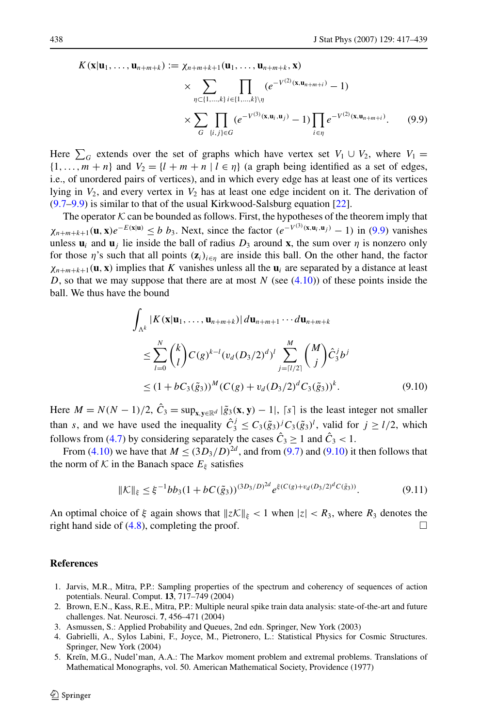<span id="page-21-0"></span>
$$
K(\mathbf{x}|\mathbf{u}_1,\ldots,\mathbf{u}_{n+m+k}):=\chi_{n+m+k+1}(\mathbf{u}_1,\ldots,\mathbf{u}_{n+m+k},\mathbf{x})\times\sum_{\chi}\prod_{\ell}e^{-V^{(2)}(\mathbf{x},\mathbf{u}_{n+m+\ell})}-1)
$$

$$
\times \sum_{\eta \subset \{1,\ldots,k\}} \prod_{i \in \{1,\ldots,k\} \setminus \eta} (e^{-V^{(2)}(\mathbf{x}, \mathbf{u}_{n+m+i})} - 1)
$$
  
 
$$
\times \sum_{G} \prod_{\{i,j\} \in G} (e^{-V^{(3)}(\mathbf{x}, \mathbf{u}_{i}, \mathbf{u}_{j})} - 1) \prod_{i \in \eta} e^{-V^{(2)}(\mathbf{x}, \mathbf{u}_{n+m+i})}. \tag{9.9}
$$

Here  $\sum_G$  extends over the set of graphs which have vertex set  $V_1 \cup V_2$ , where  $V_1 =$  $\{1, \ldots, m + n\}$  and  $V_2 = \{l + m + n | l \in \eta\}$  (a graph being identified as a set of edges, i.e., of unordered pairs of vertices), and in which every edge has at least one of its vertices lying in  $V_2$ , and every vertex in  $V_2$  has at least one edge incident on it. The derivation of ([9.7–](#page-20-0)9.9) is similar to that of the usual Kirkwood-Salsburg equation [[22](#page-22-0)].

The operator  $K$  can be bounded as follows. First, the hypotheses of the theorem imply that  $\chi_{n+m+k+1}(\mathbf{u}, \mathbf{x})e^{-E(\mathbf{x}|\mathbf{u})} \leq b \; b_3$ . Next, since the factor  $(e^{-V^{(3)}(\mathbf{x}, \mathbf{u}_i, \mathbf{u}_j)} - 1)$  in (9.9) vanishes unless  $\mathbf{u}_i$  and  $\mathbf{u}_j$  lie inside the ball of radius  $D_3$  around **x**, the sum over  $\eta$  is nonzero only for those  $\eta$ 's such that all points  $(\mathbf{z}_i)_{i \in \eta}$  are inside this ball. On the other hand, the factor  $\chi_{n+m+k+1}(\mathbf{u}, \mathbf{x})$  implies that *K* vanishes unless all the  $\mathbf{u}_i$  are separated by a distance at least *D*, so that we may suppose that there are at most *N* (see ([4.10](#page-10-0))) of these points inside the ball. We thus have the bound

$$
\int_{\Lambda^k} |K(\mathbf{x}|\mathbf{u}_1, ..., \mathbf{u}_{n+m+k})| d\mathbf{u}_{n+m+1} \cdots d\mathbf{u}_{n+m+k}
$$
\n
$$
\leq \sum_{l=0}^N {k \choose l} C(g)^{k-l} (v_d(D_3/2)^d)^l \sum_{j= [l/2]}^M {M \choose j} \hat{C}_3^j b^j
$$
\n
$$
\leq (1 + bC_3(\tilde{g}_3))^M (C(g) + v_d(D_3/2)^d C_3(\tilde{g}_3))^k. \tag{9.10}
$$

Here  $M = N(N-1)/2$ ,  $\hat{C}_3 = \sup_{\mathbf{x}, \mathbf{v} \in \mathbb{R}^d} |\tilde{g}_3(\mathbf{x}, \mathbf{y}) - 1|$ ,  $\lceil s \rceil$  is the least integer not smaller than *s*, and we have used the inequality  $\hat{C}_3^j \leq C_3(\tilde{g}_3)^j C_3(\tilde{g}_3)^l$ , valid for  $j \geq l/2$ , which follows from [\(4.7](#page-9-0)) by considering separately the cases  $\hat{C}_3 \ge 1$  and  $\hat{C}_3 < 1$ .

From ([4.10](#page-10-0)) we have that  $M \leq (3D_3/D)^{2d}$ , and from ([9.7\)](#page-20-0) and (9.10) it then follows that the norm of  $K$  in the Banach space  $E_{\xi}$  satisfies

$$
\|\mathcal{K}\|_{\xi} \le \xi^{-1} bb_3 (1 + bC(\tilde{g}_3))^{(3D_3/D)^{2d}} e^{\xi(C(g) + v_d(D_3/2)^d C(\tilde{g}_3))}.
$$
\n(9.11)

An optimal choice of  $\xi$  again shows that  $\|\zeta \mathcal{K}\|_{\xi} < 1$  when  $|z| < R_3$ , where  $R_3$  denotes the right hand side of  $(4.8)$  $(4.8)$ , completing the proof.  $\Box$ 

# **References**

- 1. Jarvis, M.R., Mitra, P.P.: Sampling properties of the spectrum and coherency of sequences of action potentials. Neural. Comput. **13**, 717–749 (2004)
- 2. Brown, E.N., Kass, R.E., Mitra, P.P.: Multiple neural spike train data analysis: state-of-the-art and future challenges. Nat. Neurosci. **7**, 456–471 (2004)
- 3. Asmussen, S.: Applied Probability and Queues, 2nd edn. Springer, New York (2003)
- 4. Gabrielli, A., Sylos Labini, F., Joyce, M., Pietronero, L.: Statistical Physics for Cosmic Structures. Springer, New York (2004)
- 5. Kre˘ın, M.G., Nudel'man, A.A.: The Markov moment problem and extremal problems. Translations of Mathematical Monographs, vol. 50. American Mathematical Society, Providence (1977)